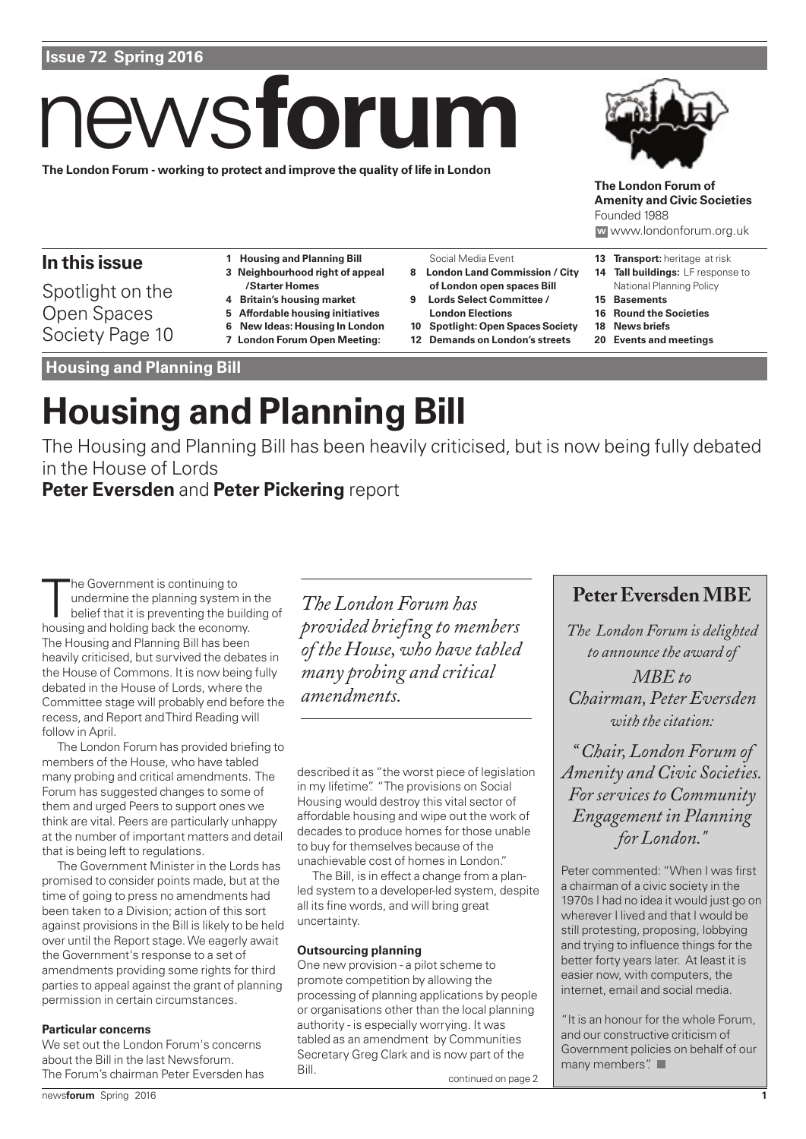# **Issue 72 Spring 2016**

# news **forum**

**The London Forum - working to protect and improve the quality of life in London**



**The London Forum of Amenity and Civic Societies** Founded 1988

#### **w** www.londonforum.org.uk

# **In this issue**

Spotlight on the Open Spaces Society Page 10

- **1 Housing and Planning Bill 3 Neighbourhood right of appeal**
- **/Starter Homes**
- **4 Britain's housing market**
- **5 Affordable housing initiatives**
- **6 New Ideas: Housing In London**
- **7 London Forum Open Meeting:**

Social Media Event **8 London Land Commission / City**

- **of London open spaces Bill 9 Lords Select Committee /**
- **London Elections**
- **10 Spotlight: Open Spaces Society**
- **12 Demands on London's streets**
- **13 Transport:** heritage at risk
- **14 Tall buildings:** LF response to National Planning Policy
- **15 Basements**
- **16 Round the Societies**
- **18 News briefs**
- **20 Events and meetings**

**Housing and Planning Bill** 

# **Housing and Planning Bill**

The Housing and Planning Bill has been heavily criticised, but is now being fully debated in the House of Lords

# **Peter Eversden** and **Peter Pickering** report

The Government is continuing to<br>
undermine the planning system in<br>
belief that it is preventing the build<br>
housing and holding back the economy. he Government is continuing to undermine the planning system in the belief that it is preventing the building of The Housing and Planning Bill has been heavily criticised, but survived the debates in the House of Commons. It is now being fully debated in the House of Lords, where the Committee stage will probably end before the recess, and Report and Third Reading will follow in April.

The London Forum has provided briefing to members of the House, who have tabled many probing and critical amendments. The Forum has suggested changes to some of them and urged Peers to support ones we think are vital. Peers are particularly unhappy at the number of important matters and detail that is being left to regulations.

The Government Minister in the Lords has promised to consider points made, but at the time of going to press no amendments had been taken to a Division; action of this sort against provisions in the Bill is likely to be held over until the Report stage. We eagerly await the Government's response to a set of amendments providing some rights for third parties to appeal against the grant of planning permission in certain circumstances.

#### **Particular concerns**

We set out the London Forum's concerns about the Bill in the last Newsforum. The Forum's chairman Peter Eversden has

*The London Forum has provided briefing to members of the House, who have tabled many probing and critical amendments.*

described it as "the worst piece of legislation in my lifetime". "The provisions on Social Housing would destroy this vital sector of affordable housing and wipe out the work of decades to produce homes for those unable to buy for themselves because of the unachievable cost of homes in London."

The Bill, is in effect a change from a planled system to a developer-led system, despite all its fine words, and will bring great uncertainty.

#### **Outsourcing planning**

One new provision - a pilot scheme to promote competition by allowing the processing of planning applications by people or organisations other than the local planning authority - is especially worrying. It was tabled as an amendment by Communities Secretary Greg Clark and is now part of the Bill.

continued on page 2

# **Peter Eversden MBE**

*The London Forum is delighted to announce the award of MBE to Chairman, Peter Eversden with the citation:*

*" Chair, London Forum of Amenity and Civic Societies. For services to Community Engagement in Planning for London."*

Peter commented: "When I was first a chairman of a civic society in the 1970s I had no idea it would just go on wherever I lived and that I would be still protesting, proposing, lobbying and trying to influence things for the better forty years later. At least it is easier now, with computers, the internet, email and social media.

"It is an honour for the whole Forum, and our constructive criticism of Government policies on behalf of our many members".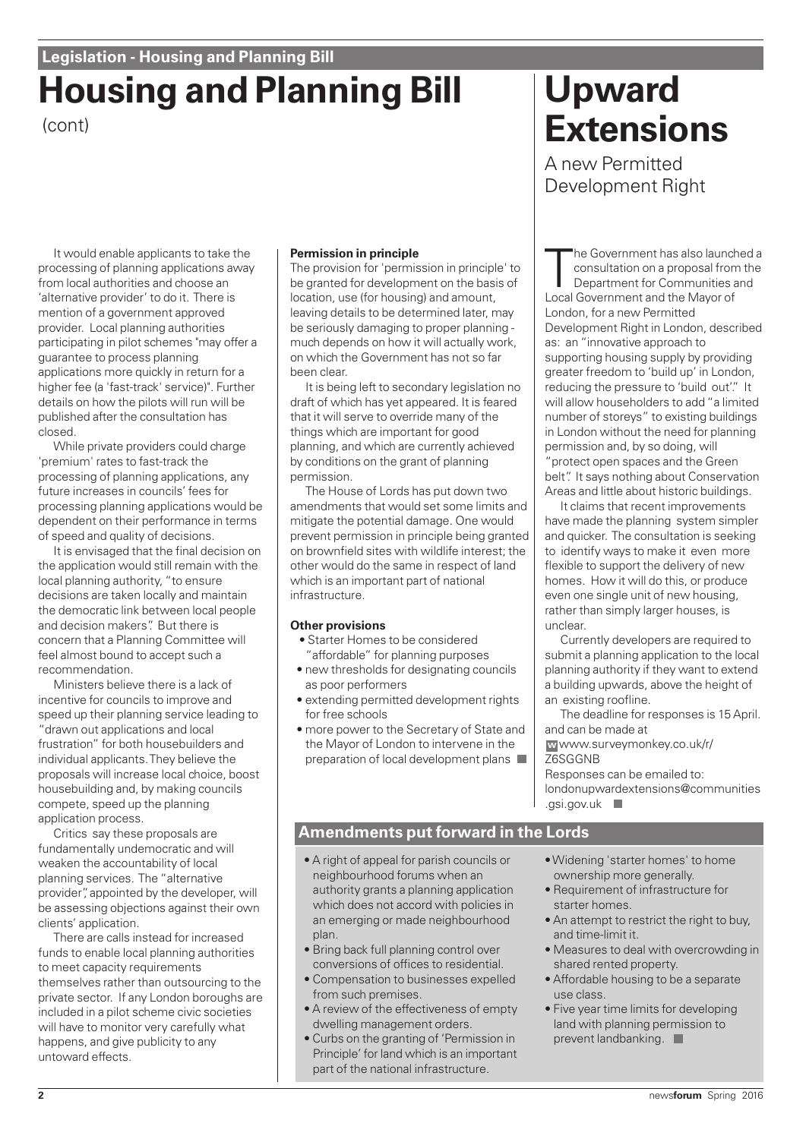# **Housing and Planning Bill** (cont)

It would enable applicants to take the processing of planning applications away from local authorities and choose an 'alternative provider' to do it. There is mention of a government approved provider. Local planning authorities participating in pilot schemes "may offer a guarantee to process planning applications more quickly in return for a higher fee (a 'fast-track' service)". Further details on how the pilots will run will be published after the consultation has closed.

While private providers could charge 'premium' rates to fast-track the processing of planning applications, any future increases in councils' fees for processing planning applications would be dependent on their performance in terms of speed and quality of decisions.

It is envisaged that the final decision on the application would still remain with the local planning authority, "to ensure decisions are taken locally and maintain the democratic link between local people and decision makers". But there is concern that a Planning Committee will feel almost bound to accept such a recommendation.

Ministers believe there is a lack of incentive for councils to improve and speed up their planning service leading to "drawn out applications and local frustration" for both housebuilders and individual applicants. They believe the proposals will increase local choice, boost housebuilding and, by making councils compete, speed up the planning application process.

Critics say these proposals are fundamentally undemocratic and will weaken the accountability of local planning services. The "alternative provider", appointed by the developer, will be assessing objections against their own clients' application.

There are calls instead for increased funds to enable local planning authorities to meet capacity requirements themselves rather than outsourcing to the private sector. If any London boroughs are included in a pilot scheme civic societies will have to monitor very carefully what happens, and give publicity to any untoward effects.

#### **Permission in principle**

The provision for 'permission in principle' to be granted for development on the basis of location, use (for housing) and amount, leaving details to be determined later, may be seriously damaging to proper planning much depends on how it will actually work, on which the Government has not so far been clear.

It is being left to secondary legislation no draft of which has yet appeared. It is feared that it will serve to override many of the things which are important for good planning, and which are currently achieved by conditions on the grant of planning permission.

The House of Lords has put down two amendments that would set some limits and mitigate the potential damage. One would prevent permission in principle being granted on brownfield sites with wildlife interest; the other would do the same in respect of land which is an important part of national infrastructure.

#### **Other provisions**

- Starter Homes to be considered "affordable" for planning purposes
- new thresholds for designating councils as poor performers
- extending permitted development rights for free schools
- more power to the Secretary of State and the Mayor of London to intervene in the preparation of local development plans

# **Upward Extensions**

A new Permitted Development Right

The Government has also launc<br>
consultation on a proposal from<br>
Department for Communities<br>
Local Government and the Mayor of he Government has also launched a consultation on a proposal from the Department for Communities and London, for a new Permitted Development Right in London, described as: an "innovative approach to supporting housing supply by providing greater freedom to 'build up' in London, reducing the pressure to 'build out'." It will allow householders to add "a limited number of storeys" to existing buildings in London without the need for planning permission and, by so doing, will "protect open spaces and the Green belt". It says nothing about Conservation Areas and little about historic buildings.

It claims that recent improvements have made the planning system simpler and quicker. The consultation is seeking to identify ways to make it even more flexible to support the delivery of new homes. How it will do this, or produce even one single unit of new housing, rather than simply larger houses, is unclear.

Currently developers are required to submit a planning application to the local planning authority if they want to extend a building upwards, above the height of an existing roofline.

The deadline for responses is 15 April. and can be made at

www.surveymonkey.co.uk/r/ **w** Z6SGGNB

Responses can be emailed to: londonupwardextensions@communities .gsi.gov.uk

### **Amendments put forward in the Lords**

- A right of appeal for parish councils or neighbourhood forums when an authority grants a planning application which does not accord with policies in an emerging or made neighbourhood plan.
- Bring back full planning control over conversions of offices to residential.
- Compensation to businesses expelled from such premises.
- A review of the effectiveness of empty dwelling management orders.
- Curbs on the granting of 'Permission in Principle' for land which is an important part of the national infrastructure.
- Widening 'starter homes' to home ownership more generally.
- Requirement of infrastructure for starter homes.
- An attempt to restrict the right to buy, and time-limit it.
- Measures to deal with overcrowding in shared rented property.
- Affordable housing to be a separate use class.
- Five year time limits for developing land with planning permission to prevent landbanking.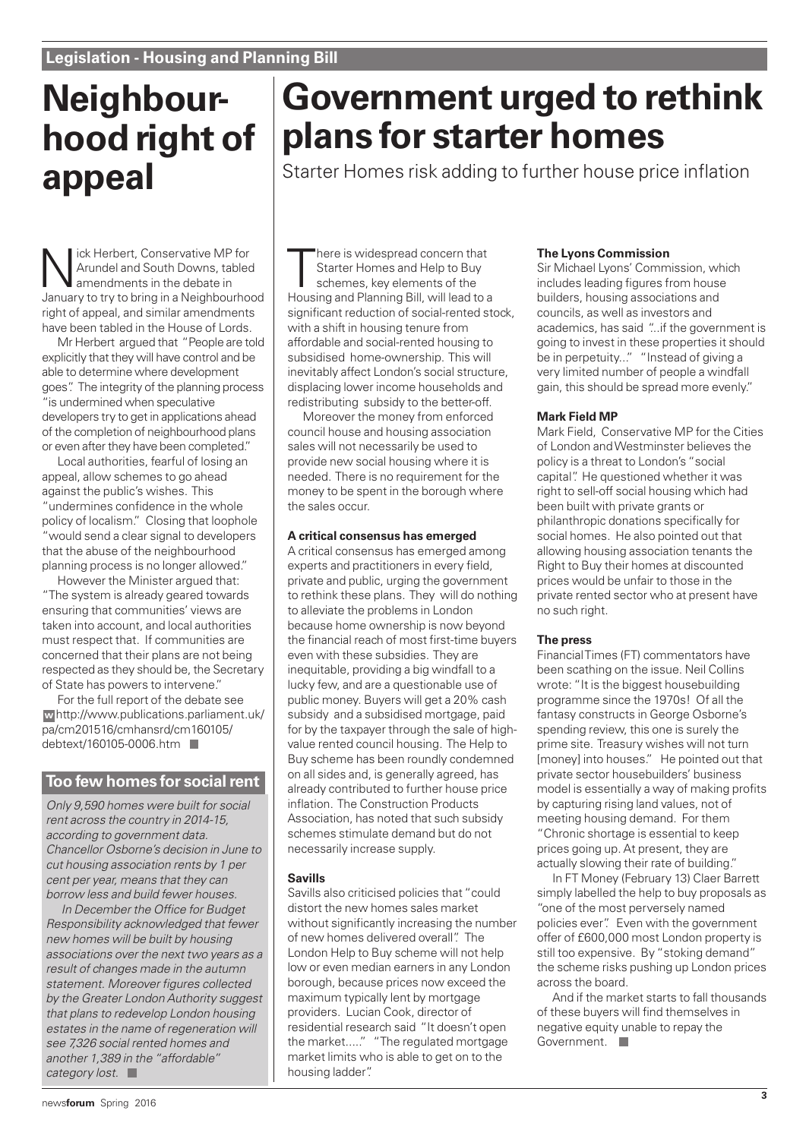# **Neighbourhood right of appeal**

Nick Herbert, Conservative MP for<br>Arundel and South Downs, table<br>amendments in the debate in<br>Any or truto bring in a Neighbourbo Arundel and South Downs, tabled amendments in the debate in January to try to bring in a Neighbourhood right of appeal, and similar amendments have been tabled in the House of Lords.

Mr Herbert argued that "People are told explicitly that they will have control and be able to determine where development goes". The integrity of the planning process "is undermined when speculative developers try to get in applications ahead of the completion of neighbourhood plans or even after they have been completed."

Local authorities, fearful of losing an appeal, allow schemes to go ahead against the public's wishes. This "undermines confidence in the whole policy of localism." Closing that loophole "would send a clear signal to developers that the abuse of the neighbourhood planning process is no longer allowed."

However the Minister argued that: "The system is already geared towards ensuring that communities' views are taken into account, and local authorities must respect that. If communities are concerned that their plans are not being respected as they should be, the Secretary of State has powers to intervene."

For the full report of the debate see http://www.publications.parliament.uk/ **w** pa/cm201516/cmhansrd/cm160105/ debtext/160105-0006.htm

### **Too few homes for social rent**

Only 9,590 homes were built for social rent across the country in 2014-15, according to government data. Chancellor Osborne's decision in June to cut housing association rents by 1 per cent per year, means that they can borrow less and build fewer houses.

In December the Office for Budget Responsibility acknowledged that fewer new homes will be built by housing associations over the next two years as a result of changes made in the autumn statement. Moreover figures collected by the Greater London Authority suggest that plans to redevelop London housing estates in the name of regeneration will see 7,326 social rented homes and another 1,389 in the "affordable" category lost.

# **Government urged to rethink plans for starter homes**

Starter Homes risk adding to further house price inflation

There is widespread concern that<br>Starter Homes and Help to Buy<br>schemes, key elements of the<br>Housing and Planning Bill, will lead to a here is widespread concern that Starter Homes and Help to Buy schemes, key elements of the significant reduction of social-rented stock, with a shift in housing tenure from affordable and social-rented housing to subsidised home-ownership. This will inevitably affect London's social structure, displacing lower income households and redistributing subsidy to the better-off.

Moreover the money from enforced council house and housing association sales will not necessarily be used to provide new social housing where it is needed. There is no requirement for the money to be spent in the borough where the sales occur.

#### **A critical consensus has emerged**

A critical consensus has emerged among experts and practitioners in every field, private and public, urging the government to rethink these plans. They will do nothing to alleviate the problems in London because home ownership is now beyond the financial reach of most first-time buyers even with these subsidies. They are inequitable, providing a big windfall to a lucky few, and are a questionable use of public money. Buyers will get a 20% cash subsidy and a subsidised mortgage, paid for by the taxpayer through the sale of highvalue rented council housing. The Help to Buy scheme has been roundly condemned on all sides and, is generally agreed, has already contributed to further house price inflation. The Construction Products Association, has noted that such subsidy schemes stimulate demand but do not necessarily increase supply.

#### **Savills**

Savills also criticised policies that "could distort the new homes sales market without significantly increasing the number of new homes delivered overall". The London Help to Buy scheme will not help low or even median earners in any London borough, because prices now exceed the maximum typically lent by mortgage providers. Lucian Cook, director of residential research said "It doesn't open the market....." "The regulated mortgage market limits who is able to get on to the housing ladder".

#### **The Lyons Commission**

Sir Michael Lyons' Commission, which includes leading figures from house builders, housing associations and councils, as well as investors and academics, has said "...if the government is going to invest in these properties it should be in perpetuity..." "Instead of giving a very limited number of people a windfall gain, this should be spread more evenly."

#### **Mark Field MP**

Mark Field, Conservative MP for the Cities of London and Westminster believes the policy is a threat to London's "social capital". He questioned whether it was right to sell-off social housing which had been built with private grants or philanthropic donations specifically for social homes. He also pointed out that allowing housing association tenants the Right to Buy their homes at discounted prices would be unfair to those in the private rented sector who at present have no such right.

#### **The press**

Financial Times (FT) commentators have been scathing on the issue. Neil Collins wrote: "It is the biggest housebuilding programme since the 1970s! Of all the fantasy constructs in George Osborne's spending review, this one is surely the prime site. Treasury wishes will not turn [money] into houses." He pointed out that private sector housebuilders' business model is essentially a way of making profits by capturing rising land values, not of meeting housing demand. For them "Chronic shortage is essential to keep prices going up. At present, they are actually slowing their rate of building."

In FT Money (February 13) Claer Barrett simply labelled the help to buy proposals as "one of the most perversely named policies ever". Even with the government offer of £600,000 most London property is still too expensive. By "stoking demand" the scheme risks pushing up London prices across the board.

And if the market starts to fall thousands of these buyers will find themselves in negative equity unable to repay the Government.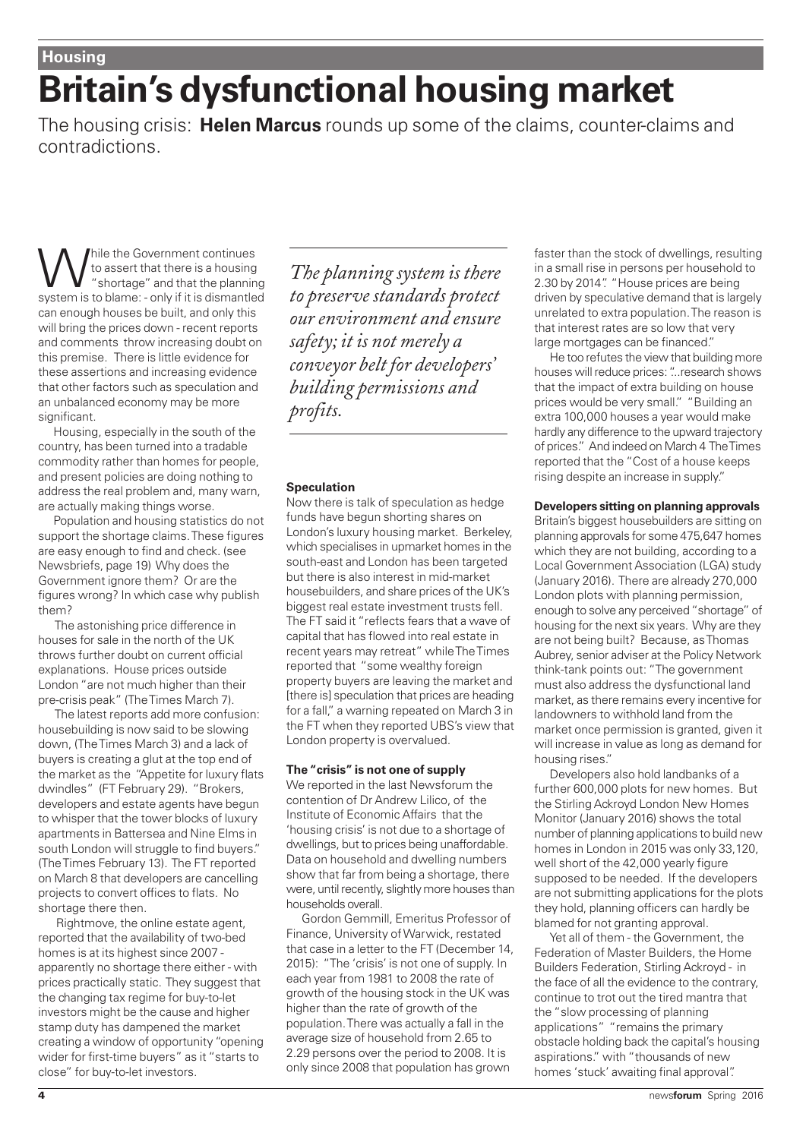# **Britain's dysfunctional housing market**

The housing crisis: **Helen Marcus** rounds up some of the claims, counter-claims and contradictions.

While the Government continues<br>
"shortage" and that the planning<br>
overtom is to blame: only if it is dismonted to assert that there is a housing "shortage" and that the planning system is to blame: - only if it is dismantled can enough houses be built, and only this will bring the prices down - recent reports and comments throw increasing doubt on this premise. There is little evidence for these assertions and increasing evidence that other factors such as speculation and an unbalanced economy may be more significant.

Housing, especially in the south of the country, has been turned into a tradable commodity rather than homes for people, and present policies are doing nothing to address the real problem and, many warn, are actually making things worse.

Population and housing statistics do not support the shortage claims. These figures are easy enough to find and check. (see Newsbriefs, page 19) Why does the Government ignore them? Or are the figures wrong? In which case why publish them?

The astonishing price difference in houses for sale in the north of the UK throws further doubt on current official explanations. House prices outside London "are not much higher than their pre-crisis peak" (The Times March 7).

The latest reports add more confusion: housebuilding is now said to be slowing down, (The Times March 3) and a lack of buyers is creating a glut at the top end of the market as the "Appetite for luxury flats dwindles" (FT February 29). "Brokers, developers and estate agents have begun to whisper that the tower blocks of luxury apartments in Battersea and Nine Elms in south London will struggle to find buyers." (The Times February 13). The FT reported on March 8 that developers are cancelling projects to convert offices to flats. No shortage there then.

Rightmove, the online estate agent, reported that the availability of two-bed homes is at its highest since 2007 apparently no shortage there either - with prices practically static. They suggest that the changing tax regime for buy-to-let investors might be the cause and higher stamp duty has dampened the market creating a window of opportunity "opening wider for first-time buyers" as it "starts to close" for buy-to-let investors.

*The planning system is there to preserve standards protect our environment and ensure safety; it is not merely a conveyor belt for developers' building permissions and profits.*

#### **Speculation**

Now there is talk of speculation as hedge funds have begun shorting shares on London's luxury housing market. Berkeley, which specialises in upmarket homes in the south-east and London has been targeted but there is also interest in mid-market housebuilders, and share prices of the UK's biggest real estate investment trusts fell. The FT said it "reflects fears that a wave of capital that has flowed into real estate in recent years may retreat" while The Times reported that "some wealthy foreign property buyers are leaving the market and [there is] speculation that prices are heading for a fall," a warning repeated on March 3 in the FT when they reported UBS's view that London property is overvalued.

#### **The "crisis" is not one of supply**

We reported in the last Newsforum the contention of Dr Andrew Lilico, of the Institute of Economic Affairs that the 'housing crisis' is not due to a shortage of dwellings, but to prices being unaffordable. Data on household and dwelling numbers show that far from being a shortage, there were, until recently, slightly more houses than households overall.

Gordon Gemmill, Emeritus Professor of Finance, University of Warwick, restated that case in a letter to the FT (December 14, 2015): "The 'crisis' is not one of supply. In each year from 1981 to 2008 the rate of growth of the housing stock in the UK was higher than the rate of growth of the population. There was actually a fall in the average size of household from 2.65 to 2.29 persons over the period to 2008. It is only since 2008 that population has grown

faster than the stock of dwellings, resulting in a small rise in persons per household to 2.30 by 2014". "House prices are being driven by speculative demand that is largely unrelated to extra population. The reason is that interest rates are so low that very large mortgages can be financed."

He too refutes the view that building more houses will reduce prices: "...research shows that the impact of extra building on house prices would be very small." "Building an extra 100,000 houses a year would make hardly any difference to the upward trajectory of prices." And indeed on March 4 The Times reported that the "Cost of a house keeps rising despite an increase in supply."

#### **Developers sitting on planning approvals**

Britain's biggest housebuilders are sitting on planning approvals for some 475,647 homes which they are not building, according to a Local Government Association (LGA) study (January 2016). There are already 270,000 London plots with planning permission, enough to solve any perceived "shortage" of housing for the next six years. Why are they are not being built? Because, as Thomas Aubrey, senior adviser at the Policy Network think-tank points out: "The government must also address the dysfunctional land market, as there remains every incentive for landowners to withhold land from the market once permission is granted, given it will increase in value as long as demand for housing rises."

Developers also hold landbanks of a further 600,000 plots for new homes. But the Stirling Ackroyd London New Homes Monitor (January 2016) shows the total number of planning applications to build new homes in London in 2015 was only 33,120, well short of the 42,000 yearly figure supposed to be needed. If the developers are not submitting applications for the plots they hold, planning officers can hardly be blamed for not granting approval.

Yet all of them - the Government, the Federation of Master Builders, the Home Builders Federation, Stirling Ackroyd - in the face of all the evidence to the contrary, continue to trot out the tired mantra that the "slow processing of planning applications" "remains the primary obstacle holding back the capital's housing aspirations." with "thousands of new homes 'stuck' awaiting final approval".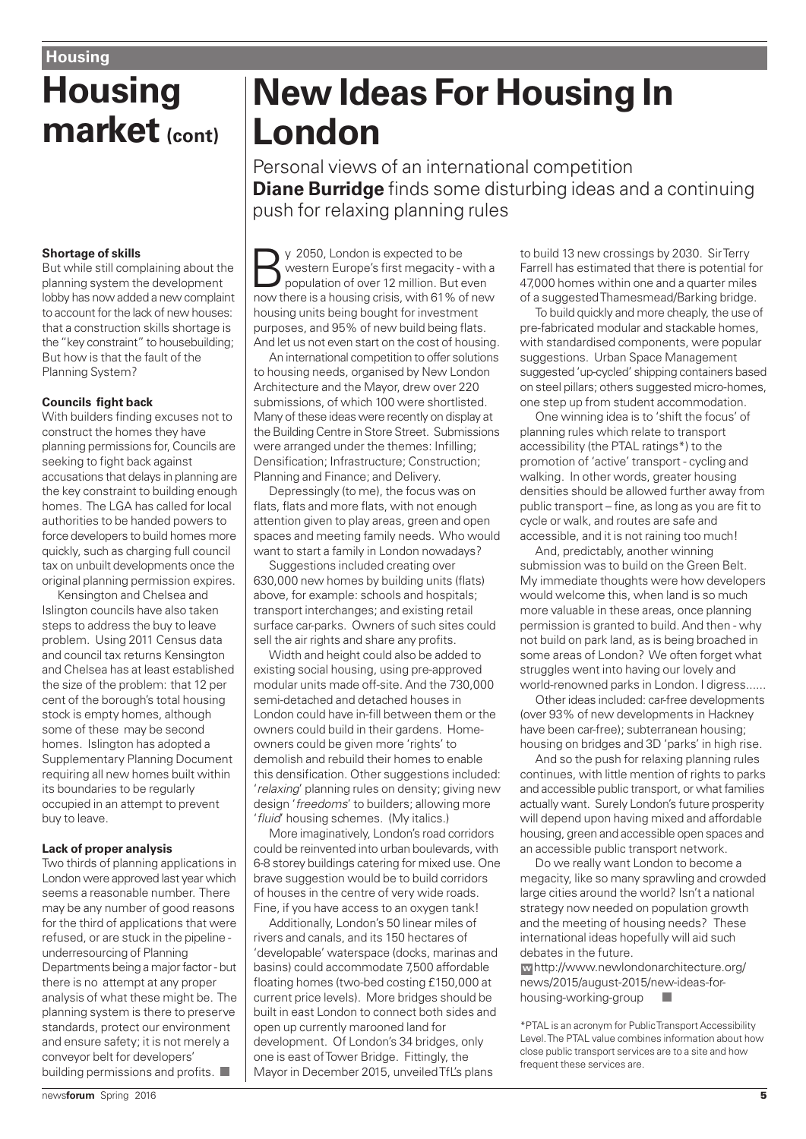# **Housing market (cont)**

#### **Shortage of skills**

But while still complaining about the planning system the development lobby has now added a new complaint to account for the lack of new houses: that a construction skills shortage is the "key constraint" to housebuilding; But how is that the fault of the Planning System?

#### **Councils fight back**

With builders finding excuses not to construct the homes they have planning permissions for, Councils are seeking to fight back against accusations that delays in planning are the key constraint to building enough homes. The LGA has called for local authorities to be handed powers to force developers to build homes more quickly, such as charging full council tax on unbuilt developments once the original planning permission expires.

Kensington and Chelsea and Islington councils have also taken steps to address the buy to leave problem. Using 2011 Census data and council tax returns Kensington and Chelsea has at least established the size of the problem: that 12 per cent of the borough's total housing stock is empty homes, although some of these may be second homes. Islington has adopted a Supplementary Planning Document requiring all new homes built within its boundaries to be regularly occupied in an attempt to prevent buy to leave.

#### **Lack of proper analysis**

Two thirds of planning applications in London were approved last year which seems a reasonable number. There may be any number of good reasons for the third of applications that were refused, or are stuck in the pipeline underresourcing of Planning Departments being a major factor - but there is no attempt at any proper analysis of what these might be. The planning system is there to preserve standards, protect our environment and ensure safety; it is not merely a conveyor belt for developers' building permissions and profits.

# **New Ideas For Housing In London**

Personal views of an international competition **Diane Burridge** finds some disturbing ideas and a continuing push for relaxing planning rules

y 2050, London is expected to be<br>
population of over 12 million. But even<br>
population of over 12 million. But even western Europe's first megacity - with a now there is a housing crisis, with 61% of new housing units being bought for investment purposes, and 95% of new build being flats. And let us not even start on the cost of housing.

An international competition to offer solutions to housing needs, organised by New London Architecture and the Mayor, drew over 220 submissions, of which 100 were shortlisted. Many of these ideas were recently on display at the Building Centre in Store Street. Submissions were arranged under the themes: Infilling; Densification; Infrastructure; Construction; Planning and Finance; and Delivery.

Depressingly (to me), the focus was on flats, flats and more flats, with not enough attention given to play areas, green and open spaces and meeting family needs. Who would want to start a family in London nowadays?

Suggestions included creating over 630,000 new homes by building units (flats) above, for example: schools and hospitals; transport interchanges; and existing retail surface car-parks. Owners of such sites could sell the air rights and share any profits.

Width and height could also be added to existing social housing, using pre-approved modular units made off-site. And the 730,000 semi-detached and detached houses in London could have in-fill between them or the owners could build in their gardens. Homeowners could be given more 'rights' to demolish and rebuild their homes to enable this densification. Other suggestions included: 'relaxing' planning rules on density; giving new design 'freedoms' to builders; allowing more 'fluid' housing schemes. (My italics.)

More imaginatively, London's road corridors could be reinvented into urban boulevards, with 6-8 storey buildings catering for mixed use. One brave suggestion would be to build corridors of houses in the centre of very wide roads. Fine, if you have access to an oxygen tank!

Additionally, London's 50 linear miles of rivers and canals, and its 150 hectares of 'developable' waterspace (docks, marinas and basins) could accommodate 7,500 affordable floating homes (two-bed costing £150,000 at current price levels). More bridges should be built in east London to connect both sides and open up currently marooned land for development. Of London's 34 bridges, only one is east of Tower Bridge. Fittingly, the Mayor in December 2015, unveiled TfL's plans

to build 13 new crossings by 2030. Sir Terry Farrell has estimated that there is potential for 47,000 homes within one and a quarter miles of a suggested Thamesmead/Barking bridge.

To build quickly and more cheaply, the use of pre-fabricated modular and stackable homes, with standardised components, were popular suggestions. Urban Space Management suggested 'up-cycled' shipping containers based on steel pillars; others suggested micro-homes, one step up from student accommodation.

One winning idea is to 'shift the focus' of planning rules which relate to transport accessibility (the PTAL ratings\*) to the promotion of 'active' transport - cycling and walking. In other words, greater housing densities should be allowed further away from public transport – fine, as long as you are fit to cycle or walk, and routes are safe and accessible, and it is not raining too much!

And, predictably, another winning submission was to build on the Green Belt. My immediate thoughts were how developers would welcome this, when land is so much more valuable in these areas, once planning permission is granted to build. And then - why not build on park land, as is being broached in some areas of London? We often forget what struggles went into having our lovely and world-renowned parks in London. I digress......

Other ideas included: car-free developments (over 93% of new developments in Hackney have been car-free); subterranean housing; housing on bridges and 3D 'parks' in high rise.

And so the push for relaxing planning rules continues, with little mention of rights to parks and accessible public transport, or what families actually want. Surely London's future prosperity will depend upon having mixed and affordable housing, green and accessible open spaces and an accessible public transport network.

Do we really want London to become a megacity, like so many sprawling and crowded large cities around the world? Isn't a national strategy now needed on population growth and the meeting of housing needs? These international ideas hopefully will aid such debates in the future.

http://www.newlondonarchitecture.org/ **w** news/2015/august-2015/new-ideas-forhousing-working-group

\*PTAL is an acronym for Public Transport Accessibility Level. The PTAL value combines information about how close public transport services are to a site and how frequent these services are.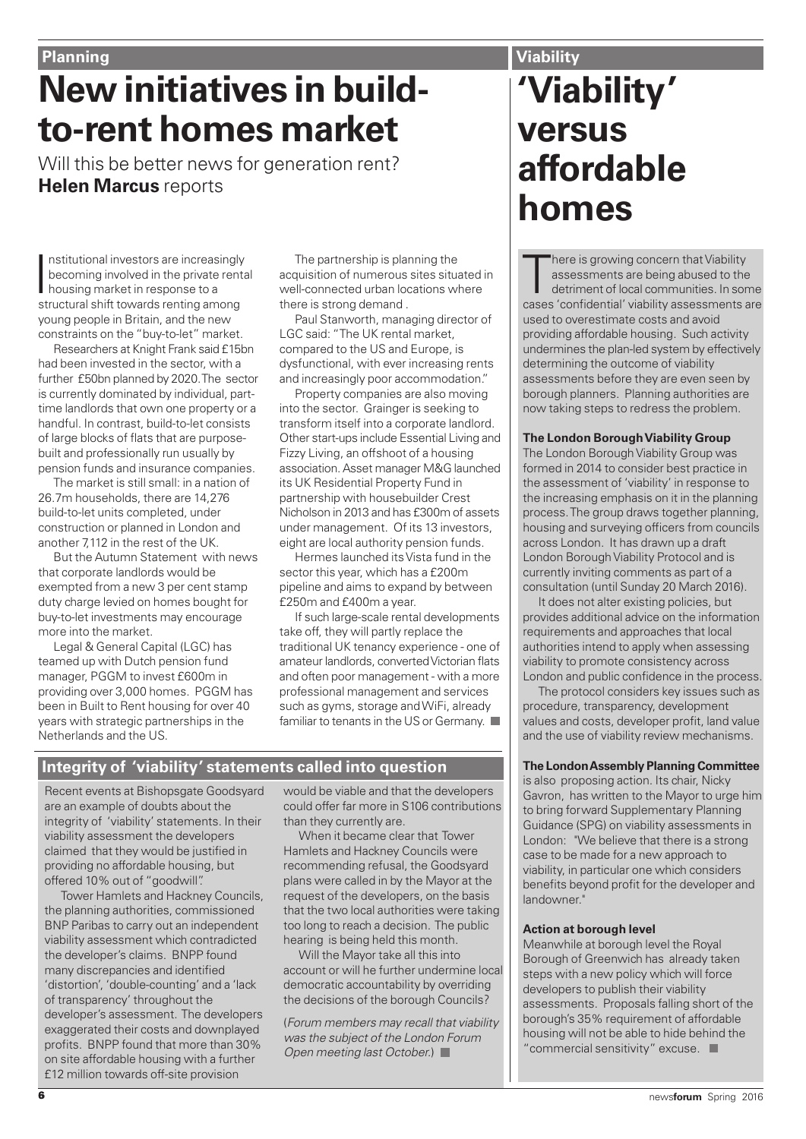# **New initiatives in buildto-rent homes market**

Will this be better news for generation rent? **Helen Marcus** reports

Institutional investors are increasing<br>becoming involved in the private ren<br>housing market in response to a<br>structural shift towards renting among nstitutional investors are increasingly becoming involved in the private rental housing market in response to a young people in Britain, and the new constraints on the "buy-to-let" market.

Researchers at Knight Frank said £15bn had been invested in the sector, with a further £50bn planned by 2020. The sector is currently dominated by individual, parttime landlords that own one property or a handful. In contrast, build-to-let consists of large blocks of flats that are purposebuilt and professionally run usually by pension funds and insurance companies.

The market is still small: in a nation of 26.7m households, there are 14,276 build-to-let units completed, under construction or planned in London and another 7,112 in the rest of the UK.

But the Autumn Statement with news that corporate landlords would be exempted from a new 3 per cent stamp duty charge levied on homes bought for buy-to-let investments may encourage more into the market.

Legal & General Capital (LGC) has teamed up with Dutch pension fund manager, PGGM to invest £600m in providing over 3,000 homes. PGGM has been in Built to Rent housing for over 40 years with strategic partnerships in the Netherlands and the US.

The partnership is planning the acquisition of numerous sites situated in well-connected urban locations where there is strong demand .

Paul Stanworth, managing director of LGC said: "The UK rental market, compared to the US and Europe, is dysfunctional, with ever increasing rents and increasingly poor accommodation."

Property companies are also moving into the sector. Grainger is seeking to transform itself into a corporate landlord. Other start-ups include Essential Living and Fizzy Living, an offshoot of a housing association. Asset manager M&G launched its UK Residential Property Fund in partnership with housebuilder Crest Nicholson in 2013 and has £300m of assets under management. Of its 13 investors, eight are local authority pension funds.

Hermes launched its Vista fund in the sector this year, which has a £200m pipeline and aims to expand by between £250m and £400m a year.

If such large-scale rental developments take off, they will partly replace the traditional UK tenancy experience - one of amateur landlords, converted Victorian flats and often poor management - with a more professional management and services such as gyms, storage and WiFi, already familiar to tenants in the US or Germany.

# **Integrity of 'viability' statements called into question**

Recent events at Bishopsgate Goodsyard are an example of doubts about the integrity of 'viability' statements. In their viability assessment the developers claimed that they would be justified in providing no affordable housing, but offered 10% out of "goodwill".

Tower Hamlets and Hackney Councils, the planning authorities, commissioned BNP Paribas to carry out an independent viability assessment which contradicted the developer's claims. BNPP found many discrepancies and identified 'distortion', 'double-counting' and a 'lack of transparency' throughout the developer's assessment. The developers exaggerated their costs and downplayed profits. BNPP found that more than 30% on site affordable housing with a further £12 million towards off-site provision

would be viable and that the developers could offer far more in S106 contributions than they currently are.

When it became clear that Tower Hamlets and Hackney Councils were recommending refusal, the Goodsyard plans were called in by the Mayor at the request of the developers, on the basis that the two local authorities were taking too long to reach a decision. The public hearing is being held this month.

Will the Mayor take all this into account or will he further undermine local democratic accountability by overriding the decisions of the borough Councils?

(Forum members may recall that viability was the subject of the London Forum Open meeting last October.)

# **'Viability' versus affordable homes Viability**

There is growing concern that Viability<br>assessments are being abused to the<br>detriment of local communities. In some<br>cases 'confidential' viability assessments are here is growing concern that Viability assessments are being abused to the detriment of local communities. In some

used to overestimate costs and avoid providing affordable housing. Such activity undermines the plan-led system by effectively determining the outcome of viability assessments before they are even seen by borough planners. Planning authorities are now taking steps to redress the problem.

#### **The London Borough Viability Group**

The London Borough Viability Group was formed in 2014 to consider best practice in the assessment of 'viability' in response to the increasing emphasis on it in the planning process. The group draws together planning, housing and surveying officers from councils across London. It has drawn up a draft London Borough Viability Protocol and is currently inviting comments as part of a consultation (until Sunday 20 March 2016).

It does not alter existing policies, but provides additional advice on the information requirements and approaches that local authorities intend to apply when assessing viability to promote consistency across London and public confidence in the process.

The protocol considers key issues such as procedure, transparency, development values and costs, developer profit, land value and the use of viability review mechanisms.

#### **The London Assembly Planning Committee**

is also proposing action. Its chair, Nicky Gavron, has written to the Mayor to urge him to bring forward Supplementary Planning Guidance (SPG) on viability assessments in London: "We believe that there is a strong case to be made for a new approach to viability, in particular one which considers benefits beyond profit for the developer and landowner."

#### **Action at borough level**

Meanwhile at borough level the Royal Borough of Greenwich has already taken steps with a new policy which will force developers to publish their viability assessments. Proposals falling short of the borough's 35% requirement of affordable housing will not be able to hide behind the "commercial sensitivity" excuse.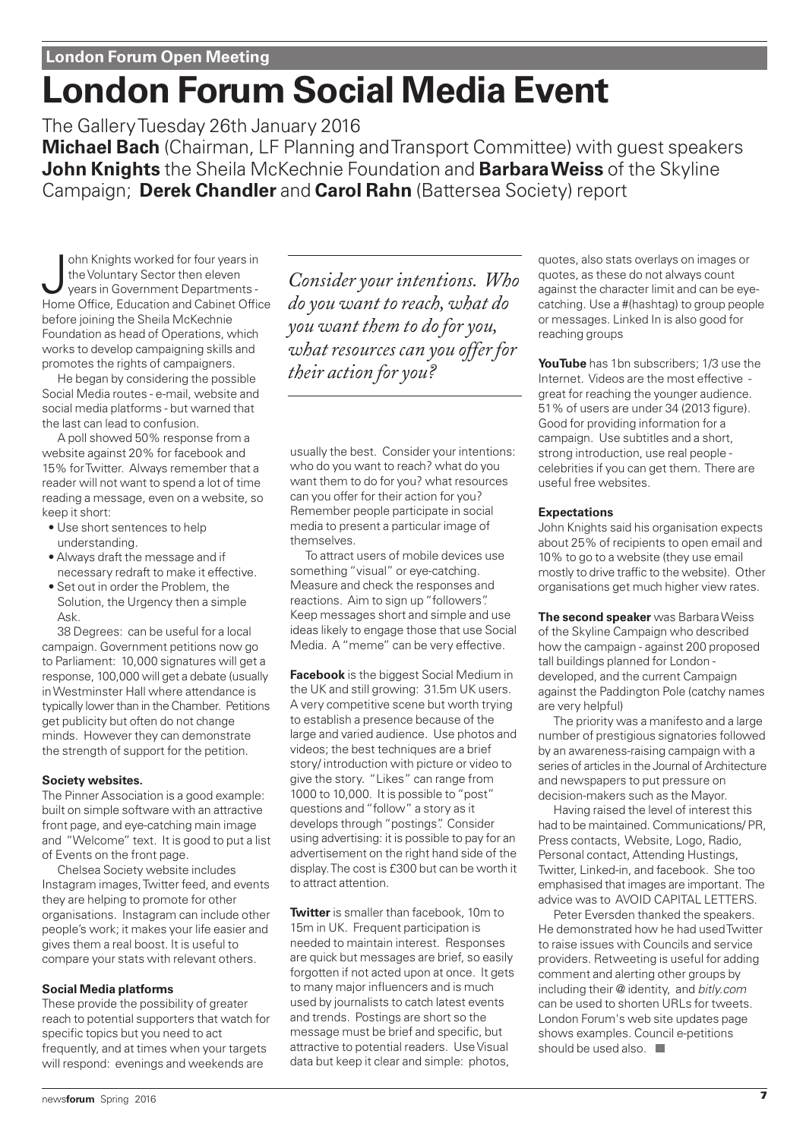# **London Forum Social Media Event**

The Gallery Tuesday 26th January 2016

**Michael Bach** (Chairman, LF Planning and Transport Committee) with guest speakers **John Knights** the Sheila McKechnie Foundation and **Barbara Weiss** of the Skyline Campaign; **Derek Chandler** and **Carol Rahn** (Battersea Society) report

John Knights worked for four years in<br>the Voluntary Sector then eleven<br>Home Office, Education and Cabinet Office ohn Knights worked for four years in the Voluntary Sector then eleven years in Government Departments before joining the Sheila McKechnie Foundation as head of Operations, which works to develop campaigning skills and promotes the rights of campaigners.

He began by considering the possible Social Media routes - e-mail, website and social media platforms - but warned that the last can lead to confusion.

A poll showed 50% response from a website against 20% for facebook and 15% for Twitter. Always remember that a reader will not want to spend a lot of time reading a message, even on a website, so keep it short:

- Use short sentences to help understanding.
- Always draft the message and if necessary redraft to make it effective.
- Set out in order the Problem, the Solution, the Urgency then a simple Ask.

38 Degrees: can be useful for a local campaign. Government petitions now go to Parliament: 10,000 signatures will get a response, 100,000 will get a debate (usually in Westminster Hall where attendance is typically lower than in the Chamber. Petitions get publicity but often do not change minds. However they can demonstrate the strength of support for the petition.

### **Society websites.**

The Pinner Association is a good example: built on simple software with an attractive front page, and eye-catching main image and "Welcome" text. It is good to put a list of Events on the front page.

Chelsea Society website includes Instagram images, Twitter feed, and events they are helping to promote for other organisations. Instagram can include other people's work; it makes your life easier and gives them a real boost. It is useful to compare your stats with relevant others.

### **Social Media platforms**

These provide the possibility of greater reach to potential supporters that watch for specific topics but you need to act frequently, and at times when your targets will respond: evenings and weekends are

*Consider your intentions. Who do you want to reach, what do you want them to do for you, what resources can you offer for their action for you?* 

usually the best. Consider your intentions: who do you want to reach? what do you want them to do for you? what resources can you offer for their action for you? Remember people participate in social media to present a particular image of themselves.

To attract users of mobile devices use something "visual" or eye-catching. Measure and check the responses and reactions. Aim to sign up "followers". Keep messages short and simple and use ideas likely to engage those that use Social Media. A "meme" can be very effective.

**Facebook** is the biggest Social Medium in the UK and still growing: 31.5m UK users. A very competitive scene but worth trying to establish a presence because of the large and varied audience. Use photos and videos; the best techniques are a brief story/ introduction with picture or video to give the story. "Likes" can range from 1000 to 10,000. It is possible to "post" questions and "follow" a story as it develops through "postings". Consider using advertising: it is possible to pay for an advertisement on the right hand side of the display. The cost is £300 but can be worth it to attract attention.

**Twitter** is smaller than facebook, 10m to 15m in UK. Frequent participation is needed to maintain interest. Responses are quick but messages are brief, so easily forgotten if not acted upon at once. It gets to many major influencers and is much used by journalists to catch latest events and trends. Postings are short so the message must be brief and specific, but attractive to potential readers. Use Visual data but keep it clear and simple: photos,

quotes, also stats overlays on images or quotes, as these do not always count against the character limit and can be eyecatching. Use a #(hashtag) to group people or messages. Linked In is also good for reaching groups

**YouTube** has 1bn subscribers; 1/3 use the Internet. Videos are the most effective great for reaching the younger audience. 51% of users are under 34 (2013 figure). Good for providing information for a campaign. Use subtitles and a short, strong introduction, use real people celebrities if you can get them. There are useful free websites.

#### **Expectations**

John Knights said his organisation expects about 25% of recipients to open email and 10% to go to a website (they use email mostly to drive traffic to the website). Other organisations get much higher view rates.

**The second speaker** was Barbara Weiss of the Skyline Campaign who described how the campaign - against 200 proposed tall buildings planned for London developed, and the current Campaign against the Paddington Pole (catchy names are very helpful)

The priority was a manifesto and a large number of prestigious signatories followed by an awareness-raising campaign with a series of articles in the Journal of Architecture and newspapers to put pressure on decision-makers such as the Mayor.

Having raised the level of interest this had to be maintained. Communications/ PR, Press contacts, Website, Logo, Radio, Personal contact, Attending Hustings, Twitter, Linked-in, and facebook. She too emphasised that images are important. The advice was to AVOID CAPITAL LETTERS.

Peter Eversden thanked the speakers. He demonstrated how he had used Twitter to raise issues with Councils and service providers. Retweeting is useful for adding comment and alerting other groups by including their @ identity, and bitly.com can be used to shorten URLs for tweets. London Forum's web site updates page shows examples. Council e-petitions should be used also.  $\Box$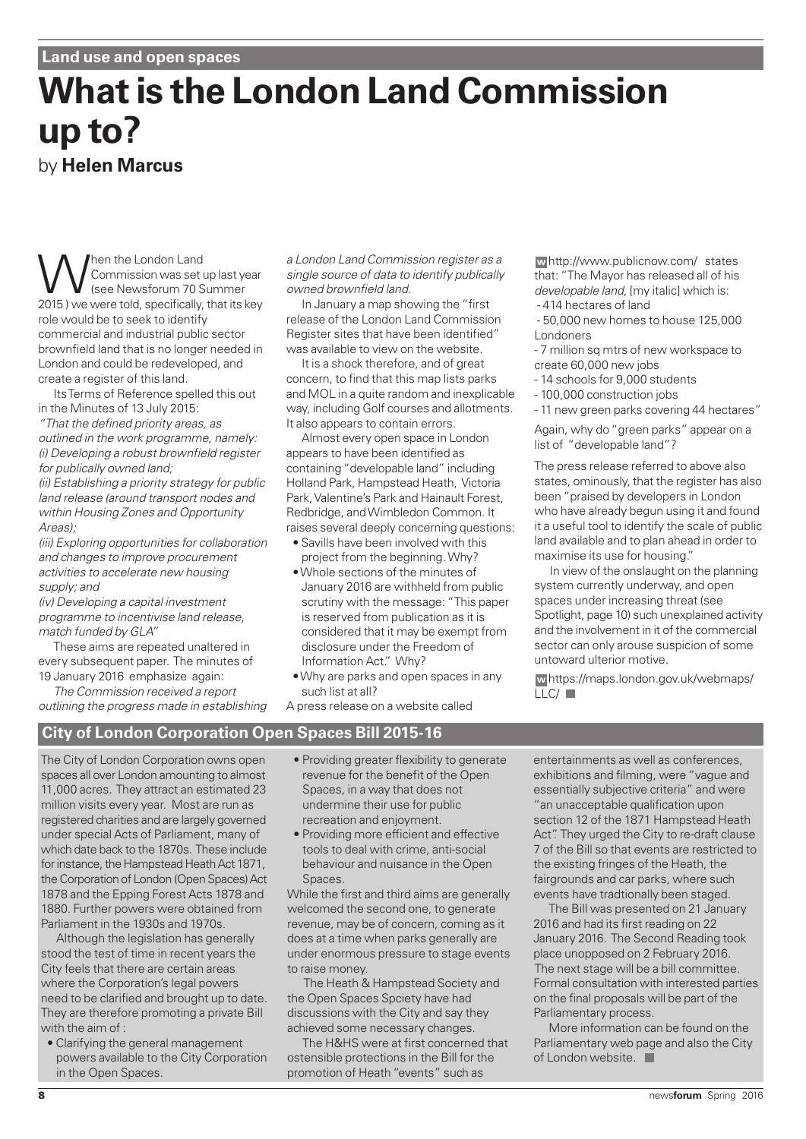# **What is the London Land Commission up to?** by **Helen Marcus**

When the London Land<br>
(see Newsforum 70 S<br>
(see Newsforum 70 S<br>
(see Newsforum 70 S Commission was set up last year (see Newsforum 70 Summer 2015 ) we were told, specifically, that its key role would be to seek to identify commercial and industrial public sector brownfield land that is no longer needed in London and could be redeveloped, and create a register of this land.

Its Terms of Reference spelled this out in the Minutes of 13 July 2015:

"That the defined priority areas, as outlined in the work programme, namely: (i) Developing a robust brownfield register for publically owned land;

(ii) Establishing a priority strategy for public land release (around transport nodes and within Housing Zones and Opportunity Areas);

(iii) Exploring opportunities for collaboration and changes to improve procurement activities to accelerate new housing supply; and

(iv) Developing a capital investment programme to incentivise land release, match funded by GLA"

These aims are repeated unaltered in every subsequent paper. The minutes of 19 January 2016 emphasize again:

The Commission received a report outlining the progress made in establishing a London Land Commission register as a single source of data to identify publically owned brownfield land.

In January a map showing the "first release of the London Land Commission Register sites that have been identified" was available to view on the website.

It is a shock therefore, and of great concern, to find that this map lists parks and MOL in a quite random and inexplicable way, including Golf courses and allotments. It also appears to contain errors.

Almost every open space in London appears to have been identified as containing "developable land" including Holland Park, Hampstead Heath, Victoria Park, Valentine's Park and Hainault Forest, Redbridge, and Wimbledon Common. It raises several deeply concerning questions:

- Savills have been involved with this project from the beginning. Why?
- Whole sections of the minutes of January 2016 are withheld from public scrutiny with the message: "This paper is reserved from publication as it is considered that it may be exempt from disclosure under the Freedom of Information Act." Why?
- Why are parks and open spaces in any such list at all?

A press release on a website called

http://www.publicnow.com/ states **w** that: "The Mayor has released all of his developable land, [my italic] which is: - 414 hectares of land

- 50,000 new homes to house 125,000 Londoners

- 7 million sq mtrs of new workspace to create 60,000 new jobs

- 14 schools for 9,000 students
- 100,000 construction jobs

- 11 new green parks covering 44 hectares"

Again, why do "green parks" appear on a list of "developable land"?

The press release referred to above also states, ominously, that the register has also been "praised by developers in London who have already begun using it and found it a useful tool to identify the scale of public land available and to plan ahead in order to maximise its use for housing."

In view of the onslaught on the planning system currently underway, and open spaces under increasing threat (see Spotlight, page 10) such unexplained activity and the involvement in it of the commercial sector can only arouse suspicion of some untoward ulterior motive.

https://maps.london.gov.uk/webmaps/ **w** LLC/

# **City of London Corporation Open Spaces Bill 2015-16**

The City of London Corporation owns open spaces all over London amounting to almost 11,000 acres. They attract an estimated 23 million visits every year. Most are run as registered charities and are largely governed under special Acts of Parliament, many of which date back to the 1870s. These include for instance, the Hampstead Heath Act 1871, the Corporation of London (Open Spaces) Act 1878 and the Epping Forest Acts 1878 and 1880. Further powers were obtained from Parliament in the 1930s and 1970s.

Although the legislation has generally stood the test of time in recent years the City feels that there are certain areas where the Corporation's legal powers need to be clarified and brought up to date. They are therefore promoting a private Bill with the aim of :

• Clarifying the general management powers available to the City Corporation in the Open Spaces.

- Providing greater flexibility to generate revenue for the benefit of the Open Spaces, in a way that does not undermine their use for public recreation and enjoyment.
- Providing more efficient and effective tools to deal with crime, anti-social behaviour and nuisance in the Open Spaces.

While the first and third aims are generally welcomed the second one, to generate revenue, may be of concern, coming as it does at a time when parks generally are under enormous pressure to stage events to raise money.

The Heath & Hampstead Society and the Open Spaces Spciety have had discussions with the City and say they achieved some necessary changes.

The H&HS were at first concerned that ostensible protections in the Bill for the promotion of Heath "events" such as

entertainments as well as conferences, exhibitions and filming, were "vague and essentially subjective criteria" and were "an unacceptable qualification upon section 12 of the 1871 Hampstead Heath Act". They urged the City to re-draft clause 7 of the Bill so that events are restricted to the existing fringes of the Heath, the fairgrounds and car parks, where such events have tradtionally been staged.

The Bill was presented on 21 January 2016 and had its first reading on 22 January 2016. The Second Reading took place unopposed on 2 February 2016. The next stage will be a bill committee. Formal consultation with interested parties on the final proposals will be part of the Parliamentary process.

More information can be found on the Parliamentary web page and also the City of London website.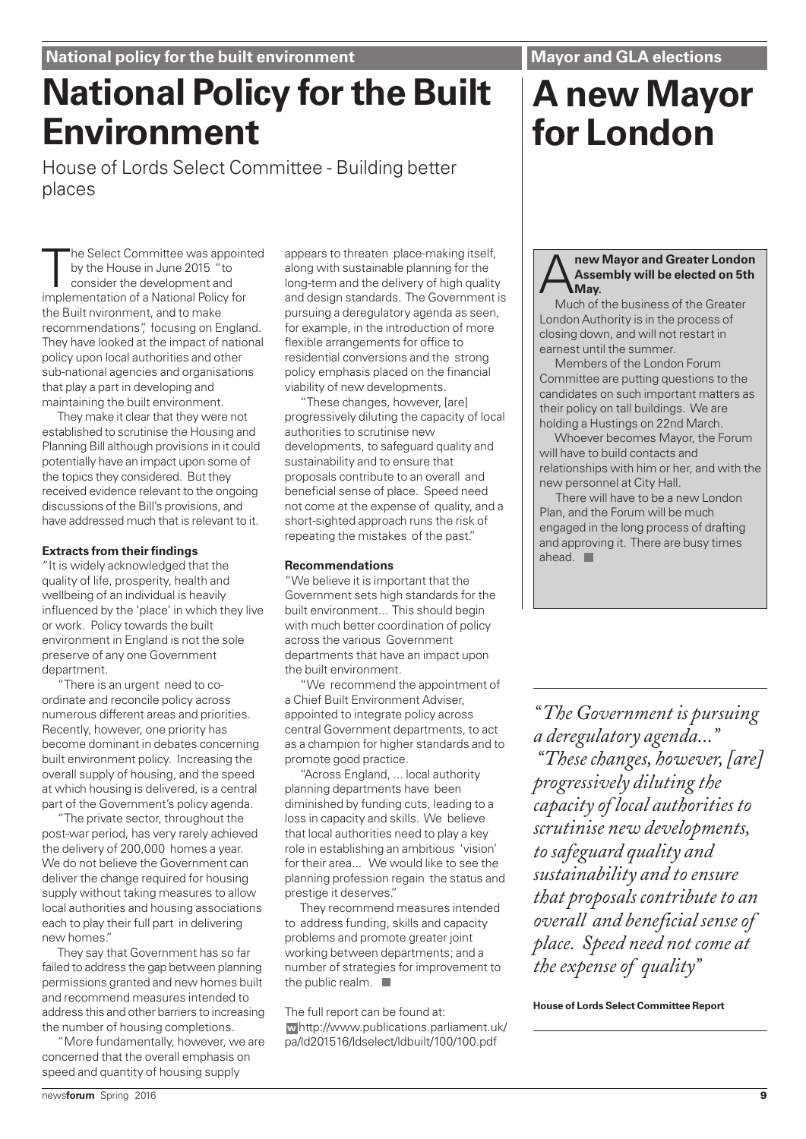### **Mayor and GLA elections**

# **National Policy for the Built Environment**

House of Lords Select Committee - Building better places

The Select Committee was appoin<br>by the House in June 2015 "to<br>consider the development and<br>implementation of a National Policy for he Select Committee was appointed by the House in June 2015 "to consider the development and the Built nvironment, and to make recommendations", focusing on England. They have looked at the impact of national policy upon local authorities and other sub-national agencies and organisations that play a part in developing and maintaining the built environment.

They make it clear that they were not established to scrutinise the Housing and Planning Bill although provisions in it could potentially have an impact upon some of the topics they considered. But they received evidence relevant to the ongoing discussions of the Bill's provisions, and have addressed much that is relevant to it.

#### **Extracts from their findings**

"It is widely acknowledged that the quality of life, prosperity, health and wellbeing of an individual is heavily influenced by the 'place' in which they live or work. Policy towards the built environment in England is not the sole preserve of any one Government department.

"There is an urgent need to coordinate and reconcile policy across numerous different areas and priorities. Recently, however, one priority has become dominant in debates concerning built environment policy. Increasing the overall supply of housing, and the speed at which housing is delivered, is a central part of the Government's policy agenda.

"The private sector, throughout the post-war period, has very rarely achieved the delivery of 200,000 homes a year. We do not believe the Government can deliver the change required for housing supply without taking measures to allow local authorities and housing associations each to play their full part in delivering new homes."

They say that Government has so far failed to address the gap between planning permissions granted and new homes built and recommend measures intended to address this and other barriers to increasing the number of housing completions.

"More fundamentally, however, we are concerned that the overall emphasis on speed and quantity of housing supply

appears to threaten place-making itself, along with sustainable planning for the long-term and the delivery of high quality and design standards. The Government is pursuing a deregulatory agenda as seen, for example, in the introduction of more flexible arrangements for office to residential conversions and the strong policy emphasis placed on the financial viability of new developments.

"These changes, however, [are] progressively diluting the capacity of local authorities to scrutinise new developments, to safeguard quality and sustainability and to ensure that proposals contribute to an overall and beneficial sense of place. Speed need not come at the expense of quality, and a short-sighted approach runs the risk of repeating the mistakes of the past."

#### **Recommendations**

"We believe it is important that the Government sets high standards for the built environment... This should begin with much better coordination of policy across the various Government departments that have an impact upon the built environment.

"We recommend the appointment of a Chief Built Environment Adviser, appointed to integrate policy across central Government departments, to act as a champion for higher standards and to promote good practice.

"Across England, ... local authority planning departments have been diminished by funding cuts, leading to a loss in capacity and skills. We believe that local authorities need to play a key role in establishing an ambitious 'vision' for their area... We would like to see the planning profession regain the status and prestige it deserves."

They recommend measures intended to address funding, skills and capacity problems and promote greater joint working between departments; and a number of strategies for improvement to the public realm.  $\blacksquare$ 

The full report can be found at: http://www.publications.parliament.uk/ **w** pa/ld201516/ldselect/ldbuilt/100/100.pdf

### **A** new Mayor and Greater London<br>Assembly will be elected on 5th<br>May.<br>Much of the business of the Greater **Assembly will be elected on 5th May.**

Much of the business of the Greater London Authority is in the process of closing down, and will not restart in earnest until the summer.

Members of the London Forum Committee are putting questions to the candidates on such important matters as their policy on tall buildings. We are holding a Hustings on 22nd March.

Whoever becomes Mayor, the Forum will have to build contacts and relationships with him or her, and with the new personnel at City Hall.

There will have to be a new London Plan, and the Forum will be much engaged in the long process of drafting and approving it. There are busy times ahead.

*" The Government is pursuing a deregulatory agenda..." "These changes, however, [are] progressively diluting the capacity of local authorities to scrutinise new developments, to safeguard quality and sustainability and to ensure that proposals contribute to an overall and beneficial sense of place. Speed need not come at the expense of quality"*

**House of Lords Select Committee Report**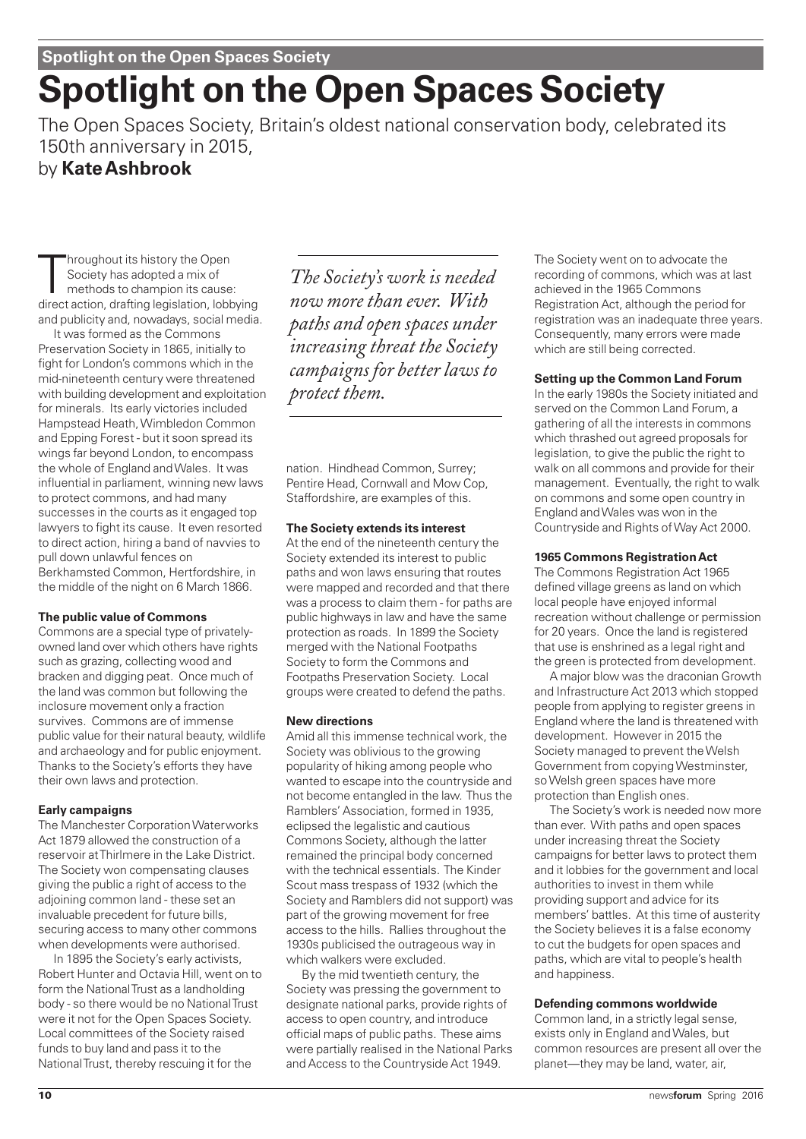# **Spotlight on the Open Spaces Society**

The Open Spaces Society, Britain's oldest national conservation body, celebrated its 150th anniversary in 2015,

# by **Kate Ashbrook**

Throughout its history the Open<br>Society has adopted a mix of<br>methods to champion its cause:<br>direct action, drafting legislation, lobbying hroughout its history the Open Society has adopted a mix of methods to champion its cause: and publicity and, nowadays, social media.

It was formed as the Commons Preservation Society in 1865, initially to fight for London's commons which in the mid-nineteenth century were threatened with building development and exploitation for minerals. Its early victories included Hampstead Heath, Wimbledon Common and Epping Forest - but it soon spread its wings far beyond London, to encompass the whole of England and Wales. It was influential in parliament, winning new laws to protect commons, and had many successes in the courts as it engaged top lawyers to fight its cause. It even resorted to direct action, hiring a band of navvies to pull down unlawful fences on Berkhamsted Common, Hertfordshire, in the middle of the night on 6 March 1866.

#### **The public value of Commons**

Commons are a special type of privatelyowned land over which others have rights such as grazing, collecting wood and bracken and digging peat. Once much of the land was common but following the inclosure movement only a fraction survives. Commons are of immense public value for their natural beauty, wildlife and archaeology and for public enjoyment. Thanks to the Society's efforts they have their own laws and protection.

#### **Early campaigns**

The Manchester Corporation Waterworks Act 1879 allowed the construction of a reservoir at Thirlmere in the Lake District. The Society won compensating clauses giving the public a right of access to the adjoining common land - these set an invaluable precedent for future bills, securing access to many other commons when developments were authorised.

In 1895 the Society's early activists, Robert Hunter and Octavia Hill, went on to form the National Trust as a landholding body - so there would be no National Trust were it not for the Open Spaces Society. Local committees of the Society raised funds to buy land and pass it to the National Trust, thereby rescuing it for the

*The Society's work is needed now more than ever. With paths and open spaces under increasing threat the Society campaigns for better laws to protect them.*

nation. Hindhead Common, Surrey; Pentire Head, Cornwall and Mow Cop, Staffordshire, are examples of this.

#### **The Society extends its interest**

At the end of the nineteenth century the Society extended its interest to public paths and won laws ensuring that routes were mapped and recorded and that there was a process to claim them - for paths are public highways in law and have the same protection as roads. In 1899 the Society merged with the National Footpaths Society to form the Commons and Footpaths Preservation Society. Local groups were created to defend the paths.

#### **New directions**

Amid all this immense technical work, the Society was oblivious to the growing popularity of hiking among people who wanted to escape into the countryside and not become entangled in the law. Thus the Ramblers' Association, formed in 1935, eclipsed the legalistic and cautious Commons Society, although the latter remained the principal body concerned with the technical essentials. The Kinder Scout mass trespass of 1932 (which the Society and Ramblers did not support) was part of the growing movement for free access to the hills. Rallies throughout the 1930s publicised the outrageous way in which walkers were excluded.

By the mid twentieth century, the Society was pressing the government to designate national parks, provide rights of access to open country, and introduce official maps of public paths. These aims were partially realised in the National Parks and Access to the Countryside Act 1949.

The Society went on to advocate the recording of commons, which was at last achieved in the 1965 Commons Registration Act, although the period for registration was an inadequate three years. Consequently, many errors were made which are still being corrected.

#### **Setting up the Common Land Forum**

In the early 1980s the Society initiated and served on the Common Land Forum, a gathering of all the interests in commons which thrashed out agreed proposals for legislation, to give the public the right to walk on all commons and provide for their management. Eventually, the right to walk on commons and some open country in England and Wales was won in the Countryside and Rights of Way Act 2000.

#### **1965 Commons Registration Act**

The Commons Registration Act 1965 defined village greens as land on which local people have enjoyed informal recreation without challenge or permission for 20 years. Once the land is registered that use is enshrined as a legal right and the green is protected from development.

A major blow was the draconian Growth and Infrastructure Act 2013 which stopped people from applying to register greens in England where the land is threatened with development. However in 2015 the Society managed to prevent the Welsh Government from copying Westminster, so Welsh green spaces have more protection than English ones.

The Society's work is needed now more than ever. With paths and open spaces under increasing threat the Society campaigns for better laws to protect them and it lobbies for the government and local authorities to invest in them while providing support and advice for its members' battles. At this time of austerity the Society believes it is a false economy to cut the budgets for open spaces and paths, which are vital to people's health and happiness.

#### **Defending commons worldwide**

Common land, in a strictly legal sense, exists only in England and Wales, but common resources are present all over the planet—they may be land, water, air,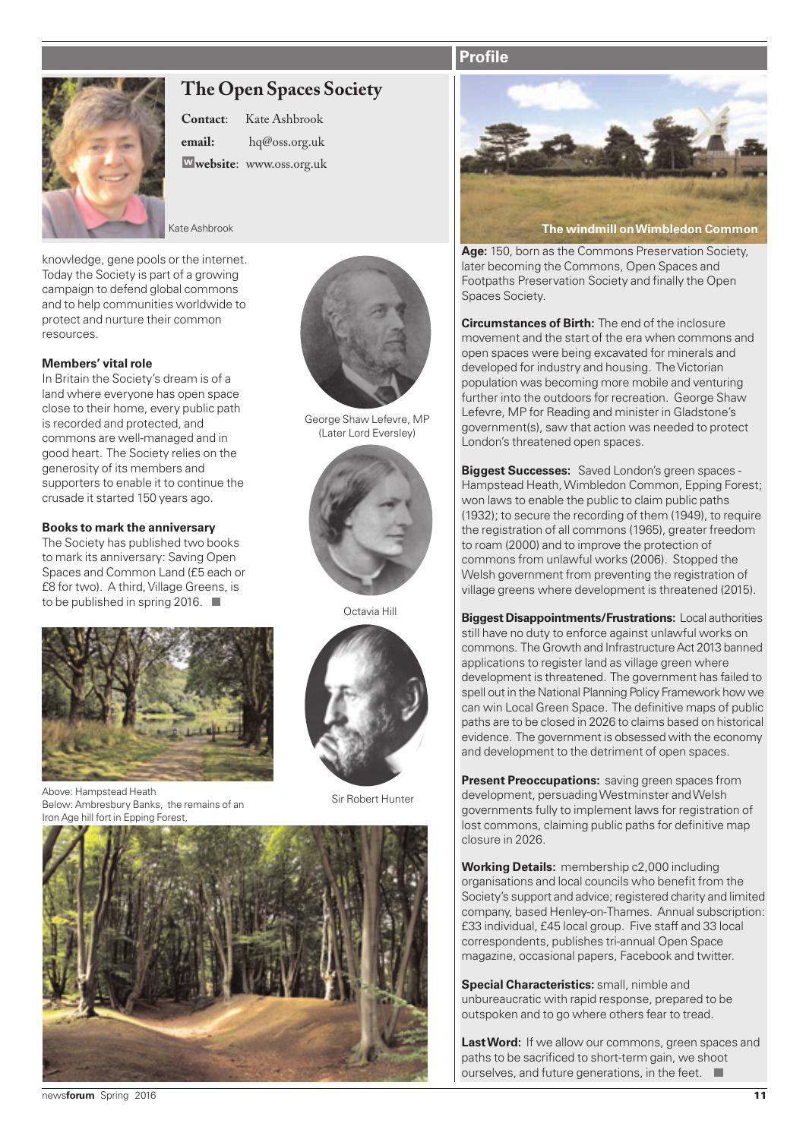# **Profile**



# **The Open Spaces Society**

**Contact**: Kate Ashbrook **email:** hq@oss.org.uk **<sup>w</sup> website**: www.oss.org.uk

knowledge, gene pools or the internet. Today the Society is part of a growing campaign to defend global commons and to help communities worldwide to protect and nurture their common resources.

#### **Members' vital role**

In Britain the Society's dream is of a land where everyone has open space close to their home, every public path is recorded and protected, and commons are well-managed and in good heart. The Society relies on the generosity of its members and supporters to enable it to continue the crusade it started 150 years ago.

#### **Books to mark the anniversary**

The Society has published two books to mark its anniversary: Saving Open Spaces and Common Land (£5 each or £8 for two). A third, Village Greens, is to be published in spring 2016.



Sir Robert Hunter Above: Hampstead Heath Below: Ambresbury Banks, the remains of an Iron Age hill fort in Epping Forest,



George Shaw Lefevre, MP (Later Lord Eversley)



Octavia Hill







**Age:** 150, born as the Commons Preservation Society, later becoming the Commons, Open Spaces and Footpaths Preservation Society and finally the Open Spaces Society.

**Circumstances of Birth:** The end of the inclosure movement and the start of the era when commons and open spaces were being excavated for minerals and developed for industry and housing. The Victorian population was becoming more mobile and venturing further into the outdoors for recreation. George Shaw Lefevre, MP for Reading and minister in Gladstone's government(s), saw that action was needed to protect London's threatened open spaces.

**Biggest Successes:** Saved London's green spaces - Hampstead Heath, Wimbledon Common, Epping Forest; won laws to enable the public to claim public paths (1932); to secure the recording of them (1949), to require the registration of all commons (1965), greater freedom to roam (2000) and to improve the protection of commons from unlawful works (2006). Stopped the Welsh government from preventing the registration of village greens where development is threatened (2015).

**Biggest Disappointments/Frustrations:** Local authorities still have no duty to enforce against unlawful works on commons. The Growth and Infrastructure Act 2013 banned applications to register land as village green where development is threatened. The government has failed to spell out in the National Planning Policy Framework how we can win Local Green Space. The definitive maps of public paths are to be closed in 2026 to claims based on historical evidence. The government is obsessed with the economy and development to the detriment of open spaces.

**Present Preoccupations:** saving green spaces from development, persuading Westminster and Welsh governments fully to implement laws for registration of lost commons, claiming public paths for definitive map closure in 2026.

**Working Details:** membership c2,000 including organisations and local councils who benefit from the Society's support and advice; registered charity and limited company, based Henley-on-Thames. Annual subscription: £33 individual, £45 local group. Five staff and 33 local correspondents, publishes tri-annual Open Space magazine, occasional papers, Facebook and twitter.

**Special Characteristics:** small, nimble and unbureaucratic with rapid response, prepared to be outspoken and to go where others fear to tread.

Last Word: If we allow our commons, green spaces and paths to be sacrificed to short-term gain, we shoot ourselves, and future generations, in the feet.  $\Box$ 

news**forum** Spring 2016 **11**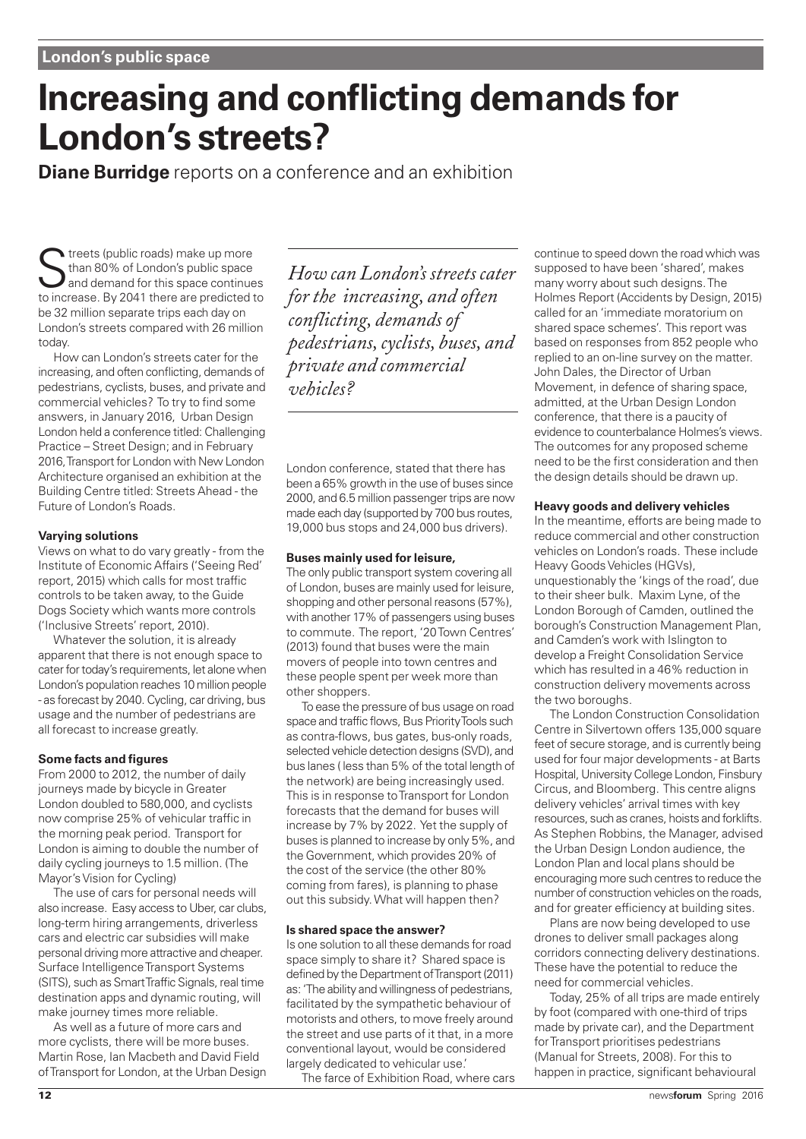# **Increasing and conflicting demands for London's streets?**

**Diane Burridge** reports on a conference and an exhibition

Streets (public roads) make up more<br>
and demand for this space continues<br>
to increase By 2041 there are prodicted to than 80% of London's public space to increase. By 2041 there are predicted to be 32 million separate trips each day on London's streets compared with 26 million today.

How can London's streets cater for the increasing, and often conflicting, demands of pedestrians, cyclists, buses, and private and commercial vehicles? To try to find some answers, in January 2016, Urban Design London held a conference titled: Challenging Practice – Street Design; and in February 2016, Transport for London with New London Architecture organised an exhibition at the Building Centre titled: Streets Ahead - the Future of London's Roads.

#### **Varying solutions**

Views on what to do vary greatly - from the Institute of Economic Affairs ('Seeing Red' report, 2015) which calls for most traffic controls to be taken away, to the Guide Dogs Society which wants more controls ('Inclusive Streets' report, 2010).

Whatever the solution, it is already apparent that there is not enough space to cater for today's requirements, let alone when London's population reaches 10 million people - as forecast by 2040. Cycling, car driving, bus usage and the number of pedestrians are all forecast to increase greatly.

#### **Some facts and figures**

From 2000 to 2012, the number of daily journeys made by bicycle in Greater London doubled to 580,000, and cyclists now comprise 25% of vehicular traffic in the morning peak period. Transport for London is aiming to double the number of daily cycling journeys to 1.5 million. (The Mayor's Vision for Cycling)

The use of cars for personal needs will also increase. Easy access to Uber, car clubs, long-term hiring arrangements, driverless cars and electric car subsidies will make personal driving more attractive and cheaper. Surface Intelligence Transport Systems (SITS), such as Smart Traffic Signals, real time destination apps and dynamic routing, will make journey times more reliable.

As well as a future of more cars and more cyclists, there will be more buses. Martin Rose, Ian Macbeth and David Field of Transport for London, at the Urban Design

*How can London's streets cater for the increasing, and often conflicting, demands of pedestrians, cyclists, buses, and private and commercial vehicles?* 

London conference, stated that there has been a 65% growth in the use of buses since 2000, and 6.5 million passenger trips are now made each day (supported by 700 bus routes, 19,000 bus stops and 24,000 bus drivers).

#### **Buses mainly used for leisure,**

The only public transport system covering all of London, buses are mainly used for leisure, shopping and other personal reasons (57%), with another 17% of passengers using buses to commute. The report, '20 Town Centres' (2013) found that buses were the main movers of people into town centres and these people spent per week more than other shoppers.

To ease the pressure of bus usage on road space and traffic flows, Bus Priority Tools such as contra-flows, bus gates, bus-only roads, selected vehicle detection designs (SVD), and bus lanes ( less than 5% of the total length of the network) are being increasingly used. This is in response to Transport for London forecasts that the demand for buses will increase by 7% by 2022. Yet the supply of buses is planned to increase by only 5%, and the Government, which provides 20% of the cost of the service (the other 80% coming from fares), is planning to phase out this subsidy. What will happen then?

#### **Is shared space the answer?**

Is one solution to all these demands for road space simply to share it? Shared space is defined by the Department of Transport (2011) as: 'The ability and willingness of pedestrians, facilitated by the sympathetic behaviour of motorists and others, to move freely around the street and use parts of it that, in a more conventional layout, would be considered largely dedicated to vehicular use.'

The farce of Exhibition Road, where cars

continue to speed down the road which was supposed to have been 'shared', makes many worry about such designs. The Holmes Report (Accidents by Design, 2015) called for an 'immediate moratorium on shared space schemes'. This report was based on responses from 852 people who replied to an on-line survey on the matter. John Dales, the Director of Urban Movement, in defence of sharing space, admitted, at the Urban Design London conference, that there is a paucity of evidence to counterbalance Holmes's views. The outcomes for any proposed scheme need to be the first consideration and then the design details should be drawn up.

#### **Heavy goods and delivery vehicles**

In the meantime, efforts are being made to reduce commercial and other construction vehicles on London's roads. These include Heavy Goods Vehicles (HGVs), unquestionably the 'kings of the road', due to their sheer bulk. Maxim Lyne, of the London Borough of Camden, outlined the borough's Construction Management Plan, and Camden's work with Islington to develop a Freight Consolidation Service which has resulted in a 46% reduction in construction delivery movements across the two boroughs.

The London Construction Consolidation Centre in Silvertown offers 135,000 square feet of secure storage, and is currently being used for four major developments - at Barts Hospital, University College London, Finsbury Circus, and Bloomberg. This centre aligns delivery vehicles' arrival times with key resources, such as cranes, hoists and forklifts. As Stephen Robbins, the Manager, advised the Urban Design London audience, the London Plan and local plans should be encouraging more such centres to reduce the number of construction vehicles on the roads, and for greater efficiency at building sites.

Plans are now being developed to use drones to deliver small packages along corridors connecting delivery destinations. These have the potential to reduce the need for commercial vehicles.

Today, 25% of all trips are made entirely by foot (compared with one-third of trips made by private car), and the Department for Transport prioritises pedestrians (Manual for Streets, 2008). For this to happen in practice, significant behavioural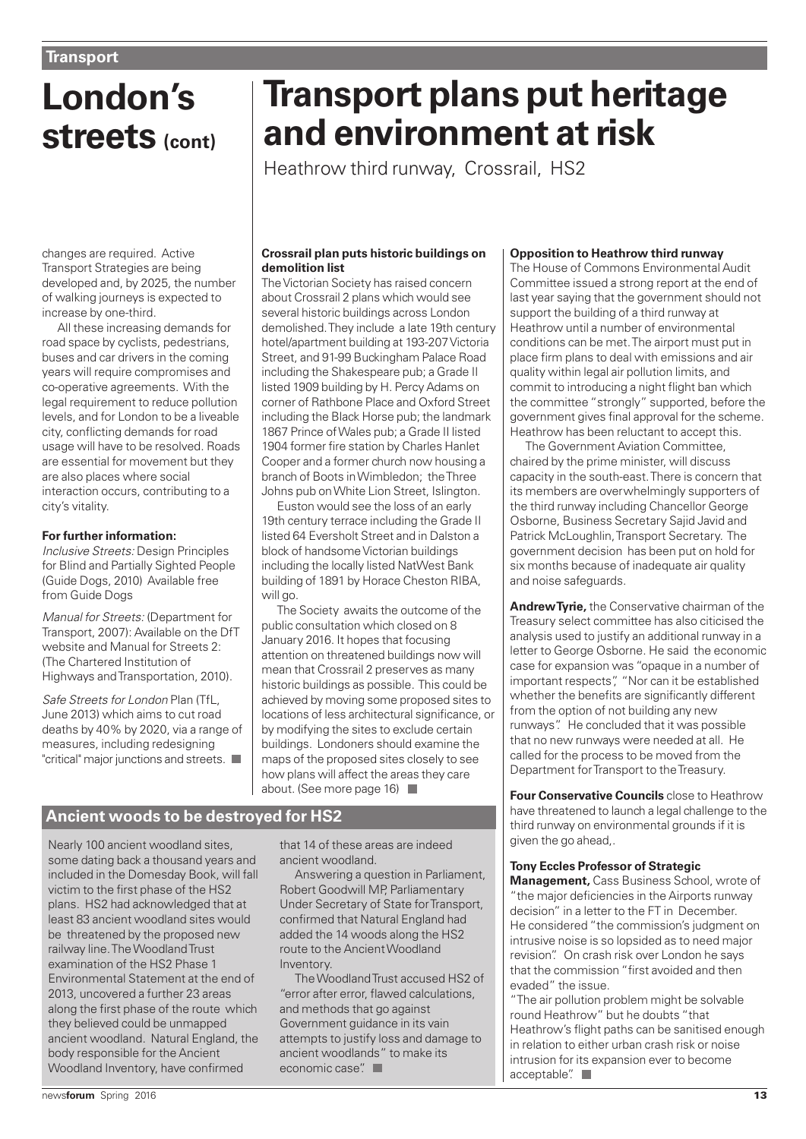# **London's streets (cont)**

# **Transport plans put heritage and environment at risk**

Heathrow third runway, Crossrail, HS2

changes are required. Active Transport Strategies are being developed and, by 2025, the number of walking journeys is expected to increase by one-third.

All these increasing demands for road space by cyclists, pedestrians, buses and car drivers in the coming years will require compromises and co-operative agreements. With the legal requirement to reduce pollution levels, and for London to be a liveable city, conflicting demands for road usage will have to be resolved. Roads are essential for movement but they are also places where social interaction occurs, contributing to a city's vitality.

#### **For further information:**

Inclusive Streets: Design Principles for Blind and Partially Sighted People (Guide Dogs, 2010) Available free from Guide Dogs

Manual for Streets: (Department for Transport, 2007): Available on the DfT website and Manual for Streets 2: (The Chartered Institution of Highways and Transportation, 2010).

Safe Streets for London Plan (TfL, June 2013) which aims to cut road deaths by 40% by 2020, via a range of measures, including redesigning "critical" major junctions and streets.

#### **Crossrail plan puts historic buildings on demolition list**

The Victorian Society has raised concern about Crossrail 2 plans which would see several historic buildings across London demolished. They include a late 19th century hotel/apartment building at 193-207 Victoria Street, and 91-99 Buckingham Palace Road including the Shakespeare pub; a Grade II listed 1909 building by H. Percy Adams on corner of Rathbone Place and Oxford Street including the Black Horse pub; the landmark 1867 Prince of Wales pub; a Grade II listed 1904 former fire station by Charles Hanlet Cooper and a former church now housing a branch of Boots in Wimbledon; the Three Johns pub on White Lion Street, Islington.

Euston would see the loss of an early 19th century terrace including the Grade II listed 64 Eversholt Street and in Dalston a block of handsome Victorian buildings including the locally listed NatWest Bank building of 1891 by Horace Cheston RIBA, will go.

The Society awaits the outcome of the public consultation which closed on 8 January 2016. It hopes that focusing attention on threatened buildings now will mean that Crossrail 2 preserves as many historic buildings as possible. This could be achieved by moving some proposed sites to locations of less architectural significance, or by modifying the sites to exclude certain buildings. Londoners should examine the maps of the proposed sites closely to see how plans will affect the areas they care about. (See more page 16)

# **Ancient woods to be destroyed for HS2**

Nearly 100 ancient woodland sites, some dating back a thousand years and included in the Domesday Book, will fall victim to the first phase of the HS2 plans. HS2 had acknowledged that at least 83 ancient woodland sites would be threatened by the proposed new railway line. The Woodland Trust examination of the HS2 Phase 1 Environmental Statement at the end of 2013, uncovered a further 23 areas along the first phase of the route which they believed could be unmapped ancient woodland. Natural England, the body responsible for the Ancient Woodland Inventory, have confirmed

that 14 of these areas are indeed ancient woodland.

Answering a question in Parliament, Robert Goodwill MP, Parliamentary Under Secretary of State for Transport, confirmed that Natural England had added the 14 woods along the HS2 route to the Ancient Woodland Inventory.

The Woodland Trust accused HS2 of "error after error, flawed calculations, and methods that go against Government guidance in its vain attempts to justify loss and damage to ancient woodlands" to make its economic case".

#### **Opposition to Heathrow third runway**

The House of Commons Environmental Audit Committee issued a strong report at the end of last year saying that the government should not support the building of a third runway at Heathrow until a number of environmental conditions can be met. The airport must put in place firm plans to deal with emissions and air quality within legal air pollution limits, and commit to introducing a night flight ban which the committee "strongly" supported, before the government gives final approval for the scheme. Heathrow has been reluctant to accept this.

The Government Aviation Committee, chaired by the prime minister, will discuss capacity in the south-east. There is concern that its members are overwhelmingly supporters of the third runway including Chancellor George Osborne, Business Secretary Sajid Javid and Patrick McLoughlin, Transport Secretary. The government decision has been put on hold for six months because of inadequate air quality and noise safeguards.

**Andrew Tyrie,** the Conservative chairman of the Treasury select committee has also citicised the analysis used to justify an additional runway in a letter to George Osborne. He said the economic case for expansion was "opaque in a number of important respects", "Nor can it be established whether the benefits are significantly different from the option of not building any new runways". He concluded that it was possible that no new runways were needed at all. He called for the process to be moved from the Department for Transport to the Treasury.

**Four Conservative Councils** close to Heathrow have threatened to launch a legal challenge to the third runway on environmental grounds if it is given the go ahead,.

#### **Tony Eccles Professor of Strategic**

**Management,** Cass Business School, wrote of "the major deficiencies in the Airports runway decision" in a letter to the FT in December. He considered "the commission's judgment on intrusive noise is so lopsided as to need major revision". On crash risk over London he says that the commission "first avoided and then evaded" the issue.

"The air pollution problem might be solvable round Heathrow" but he doubts "that Heathrow's flight paths can be sanitised enough in relation to either urban crash risk or noise intrusion for its expansion ever to become acceptable".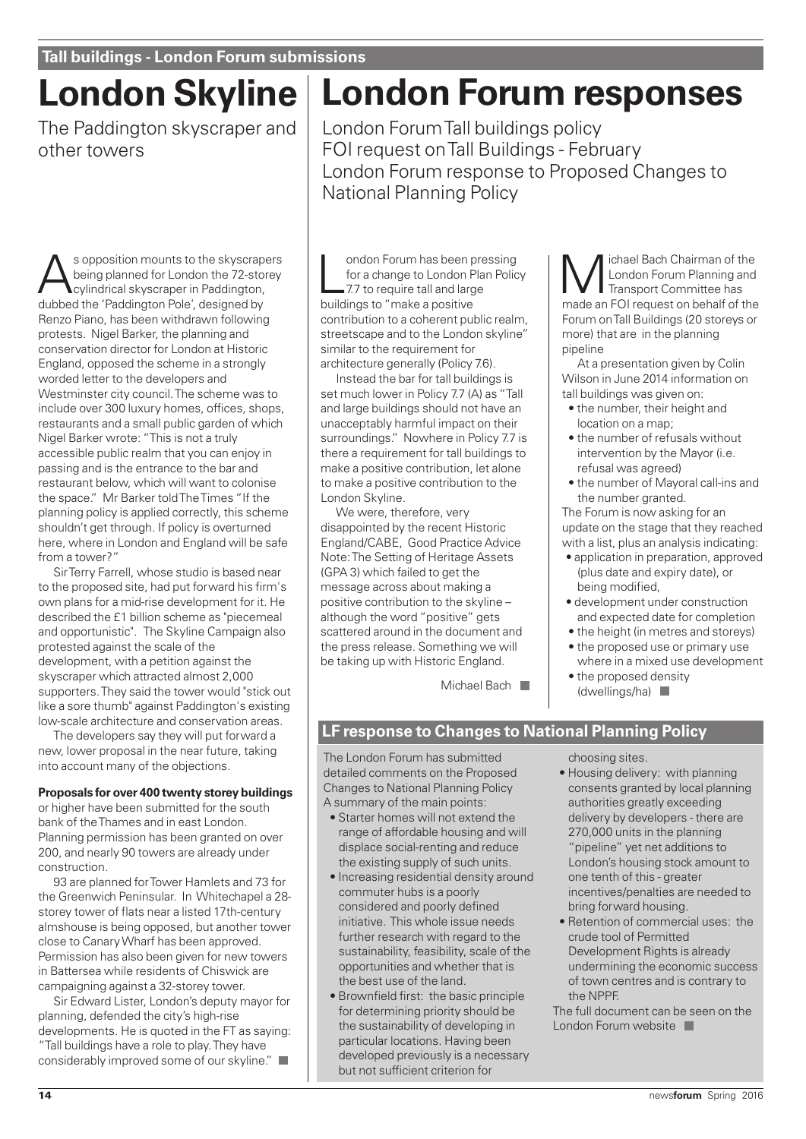# **London Skyline**

The Paddington skyscraper and other towers

Sopposition mounts to the skyscrapers<br>
cylindrical skyscraper in Paddington,<br>
dubbed the 'Paddington Pele' decigned by being planned for London the 72-storey dubbed the 'Paddington Pole', designed by Renzo Piano, has been withdrawn following protests. Nigel Barker, the planning and conservation director for London at Historic England, opposed the scheme in a strongly worded letter to the developers and Westminster city council. The scheme was to include over 300 luxury homes, offices, shops, restaurants and a small public garden of which Nigel Barker wrote: "This is not a truly accessible public realm that you can enjoy in passing and is the entrance to the bar and restaurant below, which will want to colonise the space." Mr Barker told The Times "If the planning policy is applied correctly, this scheme shouldn't get through. If policy is overturned here, where in London and England will be safe from a tower?"

Sir Terry Farrell, whose studio is based near to the proposed site, had put forward his firm's own plans for a mid-rise development for it. He described the £1 billion scheme as "piecemeal and opportunistic". The Skyline Campaign also protested against the scale of the development, with a petition against the skyscraper which attracted almost 2,000 supporters. They said the tower would "stick out like a sore thumb" against Paddington's existing low-scale architecture and conservation areas.

The developers say they will put forward a new, lower proposal in the near future, taking into account many of the objections.

#### **Proposals for over 400 twenty storey buildings**

or higher have been submitted for the south bank of the Thames and in east London. Planning permission has been granted on over 200, and nearly 90 towers are already under construction.

93 are planned for Tower Hamlets and 73 for the Greenwich Peninsular. In Whitechapel a 28 storey tower of flats near a listed 17th-century almshouse is being opposed, but another tower close to Canary Wharf has been approved. Permission has also been given for new towers in Battersea while residents of Chiswick are campaigning against a 32-storey tower.

Sir Edward Lister, London's deputy mayor for planning, defended the city's high-rise developments. He is quoted in the FT as saying: "Tall buildings have a role to play. They have considerably improved some of our skyline."

# **London Forum responses**

London Forum Tall buildings policy FOI request on Tall Buildings - February London Forum response to Proposed Changes to National Planning Policy

ondon Forum has been<br>for a change to London F<br>7.7 to require tall and larg<br>buildings to "make a positive ondon Forum has been pressing for a change to London Plan Policy 7.7 to require tall and large contribution to a coherent public realm, streetscape and to the London skyline" similar to the requirement for architecture generally (Policy 7.6).

Instead the bar for tall buildings is set much lower in Policy 7.7 (A) as "Tall and large buildings should not have an unacceptably harmful impact on their surroundings." Nowhere in Policy 7.7 is there a requirement for tall buildings to make a positive contribution, let alone to make a positive contribution to the London Skyline.

We were, therefore, very disappointed by the recent Historic England/CABE, Good Practice Advice Note: The Setting of Heritage Assets (GPA 3) which failed to get the message across about making a positive contribution to the skyline – although the word "positive" gets scattered around in the document and the press release. Something we will be taking up with Historic England.

Michael Bach

Michael Bach Chairman of the<br>
London Forum Planning and<br>
Transport Committee has<br>
mode an FOI request on bobalf of the London Forum Planning and Transport Committee has made an FOI request on behalf of the Forum on Tall Buildings (20 storeys or more) that are in the planning pipeline

At a presentation given by Colin Wilson in June 2014 information on tall buildings was given on:

- the number, their height and location on a map;
- the number of refusals without intervention by the Mayor (i.e. refusal was agreed)
- the number of Mayoral call-ins and the number granted.

The Forum is now asking for an update on the stage that they reached with a list, plus an analysis indicating:

- application in preparation, approved (plus date and expiry date), or being modified,
- development under construction and expected date for completion
- the height (in metres and storeys)
- the proposed use or primary use where in a mixed use development
- the proposed density (dwellings/ha)

### **LF response to Changes to National Planning Policy**

The London Forum has submitted detailed comments on the Proposed Changes to National Planning Policy A summary of the main points:

- Starter homes will not extend the range of affordable housing and will displace social-renting and reduce the existing supply of such units.
- Increasing residential density around commuter hubs is a poorly considered and poorly defined initiative. This whole issue needs further research with regard to the sustainability, feasibility, scale of the opportunities and whether that is the best use of the land.
- Brownfield first: the basic principle for determining priority should be the sustainability of developing in particular locations. Having been developed previously is a necessary but not sufficient criterion for

choosing sites.

- Housing delivery: with planning consents granted by local planning authorities greatly exceeding delivery by developers - there are 270,000 units in the planning "pipeline" yet net additions to London's housing stock amount to one tenth of this - greater incentives/penalties are needed to bring forward housing.
- Retention of commercial uses: the crude tool of Permitted Development Rights is already undermining the economic success of town centres and is contrary to the NPPF.

The full document can be seen on the London Forum website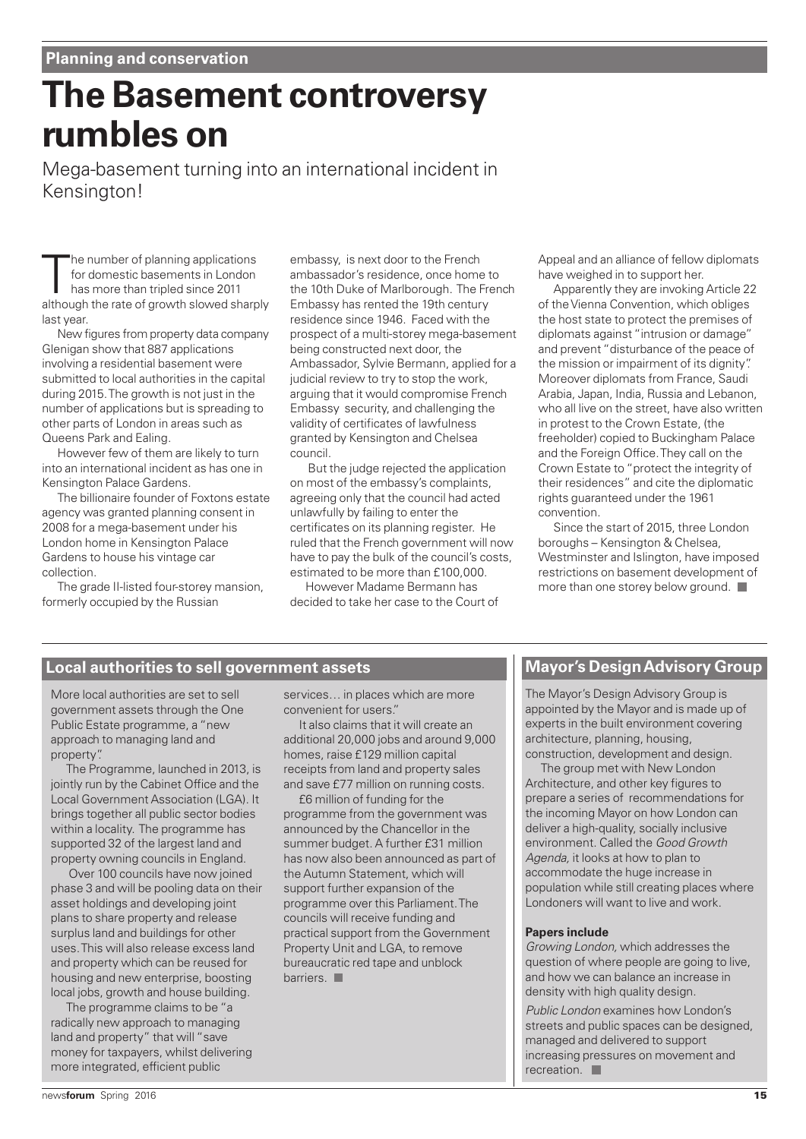# **The Basement controversy rumbles on**

Mega-basement turning into an international incident in Kensington!

The number of planning applications<br>for domestic basements in London<br>has more than tripled since 2011<br>although the rate of growth slowed sharply he number of planning applications for domestic basements in London has more than tripled since 2011 last year.

New figures from property data company Glenigan show that 887 applications involving a residential basement were submitted to local authorities in the capital during 2015. The growth is not just in the number of applications but is spreading to other parts of London in areas such as Queens Park and Ealing.

However few of them are likely to turn into an international incident as has one in Kensington Palace Gardens.

The billionaire founder of Foxtons estate agency was granted planning consent in 2008 for a mega-basement under his London home in Kensington Palace Gardens to house his vintage car collection.

The grade II-listed four-storey mansion, formerly occupied by the Russian

embassy, is next door to the French ambassador's residence, once home to the 10th Duke of Marlborough. The French Embassy has rented the 19th century residence since 1946. Faced with the prospect of a multi-storey mega-basement being constructed next door, the Ambassador, Sylvie Bermann, applied for a judicial review to try to stop the work, arguing that it would compromise French Embassy security, and challenging the validity of certificates of lawfulness granted by Kensington and Chelsea council.

But the judge rejected the application on most of the embassy's complaints, agreeing only that the council had acted unlawfully by failing to enter the certificates on its planning register. He ruled that the French government will now have to pay the bulk of the council's costs, estimated to be more than £100,000.

However Madame Bermann has decided to take her case to the Court of Appeal and an alliance of fellow diplomats have weighed in to support her.

Apparently they are invoking Article 22 of the Vienna Convention, which obliges the host state to protect the premises of diplomats against "intrusion or damage" and prevent "disturbance of the peace of the mission or impairment of its dignity". Moreover diplomats from France, Saudi Arabia, Japan, India, Russia and Lebanon, who all live on the street, have also written in protest to the Crown Estate, (the freeholder) copied to Buckingham Palace and the Foreign Office. They call on the Crown Estate to "protect the integrity of their residences" and cite the diplomatic rights guaranteed under the 1961 convention.

Since the start of 2015, three London boroughs – Kensington & Chelsea, Westminster and Islington, have imposed restrictions on basement development of more than one storey below ground.

# **Local authorities to sell government assets**

More local authorities are set to sell government assets through the One Public Estate programme, a "new approach to managing land and property".

The Programme, launched in 2013, is jointly run by the Cabinet Office and the Local Government Association (LGA). It brings together all public sector bodies within a locality. The programme has supported 32 of the largest land and property owning councils in England.

Over 100 councils have now joined phase 3 and will be pooling data on their asset holdings and developing joint plans to share property and release surplus land and buildings for other uses. This will also release excess land and property which can be reused for housing and new enterprise, boosting local jobs, growth and house building.

The programme claims to be "a radically new approach to managing land and property" that will "save money for taxpayers, whilst delivering more integrated, efficient public

services… in places which are more convenient for users."

It also claims that it will create an additional 20,000 jobs and around 9,000 homes, raise £129 million capital receipts from land and property sales and save £77 million on running costs.

£6 million of funding for the programme from the government was announced by the Chancellor in the summer budget. A further £31 million has now also been announced as part of the Autumn Statement, which will support further expansion of the programme over this Parliament. The councils will receive funding and practical support from the Government Property Unit and LGA, to remove bureaucratic red tape and unblock barriers.

# **Mayor's Design Advisory Group**

The Mayor's Design Advisory Group is appointed by the Mayor and is made up of experts in the built environment covering architecture, planning, housing, construction, development and design.

The group met with New London Architecture, and other key figures to prepare a series of recommendations for the incoming Mayor on how London can deliver a high-quality, socially inclusive environment. Called the Good Growth Agenda, it looks at how to plan to accommodate the huge increase in population while still creating places where Londoners will want to live and work.

#### **Papers include**

Growing London, which addresses the question of where people are going to live, and how we can balance an increase in density with high quality design.

Public London examines how London's streets and public spaces can be designed, managed and delivered to support increasing pressures on movement and recreation.  $\blacksquare$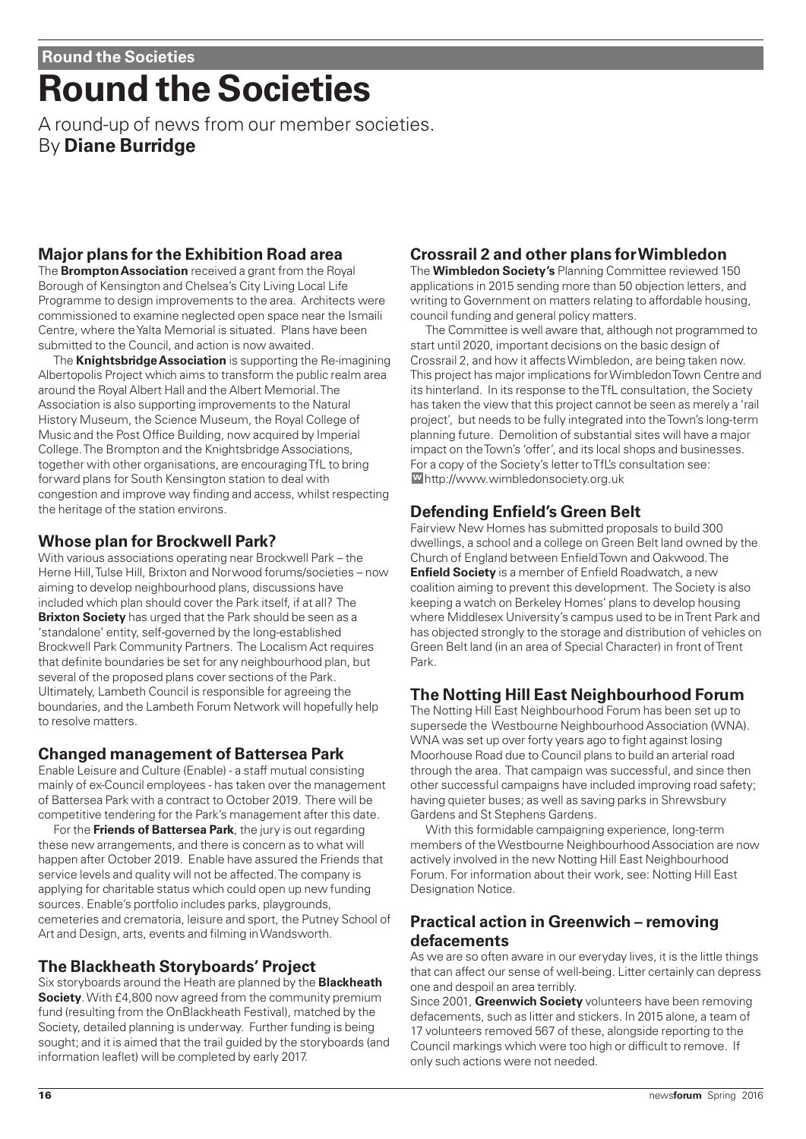# **Round the Societies**

A round-up of news from our member societies. By **Diane Burridge**

# **Major plans for the Exhibition Road area**

The **Brompton Association** received a grant from the Royal Borough of Kensington and Chelsea's City Living Local Life Programme to design improvements to the area. Architects were commissioned to examine neglected open space near the Ismaili Centre, where the Yalta Memorial is situated. Plans have been submitted to the Council, and action is now awaited.

The **Knightsbridge Association** is supporting the Re-imagining Albertopolis Project which aims to transform the public realm area around the Royal Albert Hall and the Albert Memorial. The Association is also supporting improvements to the Natural History Museum, the Science Museum, the Royal College of Music and the Post Office Building, now acquired by Imperial College. The Brompton and the Knightsbridge Associations, together with other organisations, are encouraging TfL to bring forward plans for South Kensington station to deal with congestion and improve way finding and access, whilst respecting the heritage of the station environs.

### **Whose plan for Brockwell Park?**

With various associations operating near Brockwell Park – the Herne Hill, Tulse Hill, Brixton and Norwood forums/societies – now aiming to develop neighbourhood plans, discussions have included which plan should cover the Park itself, if at all? The **Brixton Society** has urged that the Park should be seen as a 'standalone' entity, self-governed by the long-established Brockwell Park Community Partners. The Localism Act requires that definite boundaries be set for any neighbourhood plan, but several of the proposed plans cover sections of the Park. Ultimately, Lambeth Council is responsible for agreeing the boundaries, and the Lambeth Forum Network will hopefully help to resolve matters.

# **Changed management of Battersea Park**

Enable Leisure and Culture (Enable) - a staff mutual consisting mainly of ex-Council employees - has taken over the management of Battersea Park with a contract to October 2019. There will be competitive tendering for the Park's management after this date.

For the **Friends of Battersea Park**, the jury is out regarding these new arrangements, and there is concern as to what will happen after October 2019. Enable have assured the Friends that service levels and quality will not be affected. The company is applying for charitable status which could open up new funding sources. Enable's portfolio includes parks, playgrounds, cemeteries and crematoria, leisure and sport, the Putney School of Art and Design, arts, events and filming in Wandsworth.

# **The Blackheath Storyboards' Project**

Six storyboards around the Heath are planned by the **Blackheath Society**. With £4,800 now agreed from the community premium fund (resulting from the OnBlackheath Festival), matched by the Society, detailed planning is underway. Further funding is being sought; and it is aimed that the trail guided by the storyboards (and information leaflet) will be completed by early 2017.

# **Crossrail 2 and other plans for Wimbledon**

The **Wimbledon Society's** Planning Committee reviewed 150 applications in 2015 sending more than 50 objection letters, and writing to Government on matters relating to affordable housing, council funding and general policy matters.

The Committee is well aware that, although not programmed to start until 2020, important decisions on the basic design of Crossrail 2, and how it affects Wimbledon, are being taken now. This project has major implications for Wimbledon Town Centre and its hinterland. In its response to the TfL consultation, the Society has taken the view that this project cannot be seen as merely a 'rail project', but needs to be fully integrated into the Town's long-term planning future. Demolition of substantial sites will have a major impact on the Town's 'offer', and its local shops and businesses. For a copy of the Society's letter to TfL's consultation see: http://www.wimbledonsociety.org.uk **w**

# **Defending Enfield's Green Belt**

Fairview New Homes has submitted proposals to build 300 dwellings, a school and a college on Green Belt land owned by the Church of England between Enfield Town and Oakwood. The **Enfield Society** is a member of Enfield Roadwatch, a new coalition aiming to prevent this development. The Society is also keeping a watch on Berkeley Homes' plans to develop housing where Middlesex University's campus used to be in Trent Park and has objected strongly to the storage and distribution of vehicles on Green Belt land (in an area of Special Character) in front of Trent Park.

# **The Notting Hill East Neighbourhood Forum**

The Notting Hill East Neighbourhood Forum has been set up to supersede the Westbourne Neighbourhood Association (WNA). WNA was set up over forty years ago to fight against losing Moorhouse Road due to Council plans to build an arterial road through the area. That campaign was successful, and since then other successful campaigns have included improving road safety; having quieter buses; as well as saving parks in Shrewsbury Gardens and St Stephens Gardens.

With this formidable campaigning experience, long-term members of the Westbourne Neighbourhood Association are now actively involved in the new Notting Hill East Neighbourhood Forum. For information about their work, see: Notting Hill East Designation Notice.

### **Practical action in Greenwich – removing defacements**

As we are so often aware in our everyday lives, it is the little things that can affect our sense of well-being. Litter certainly can depress one and despoil an area terribly.

Since 2001, **Greenwich Society** volunteers have been removing defacements, such as litter and stickers. In 2015 alone, a team of 17 volunteers removed 567 of these, alongside reporting to the Council markings which were too high or difficult to remove. If only such actions were not needed.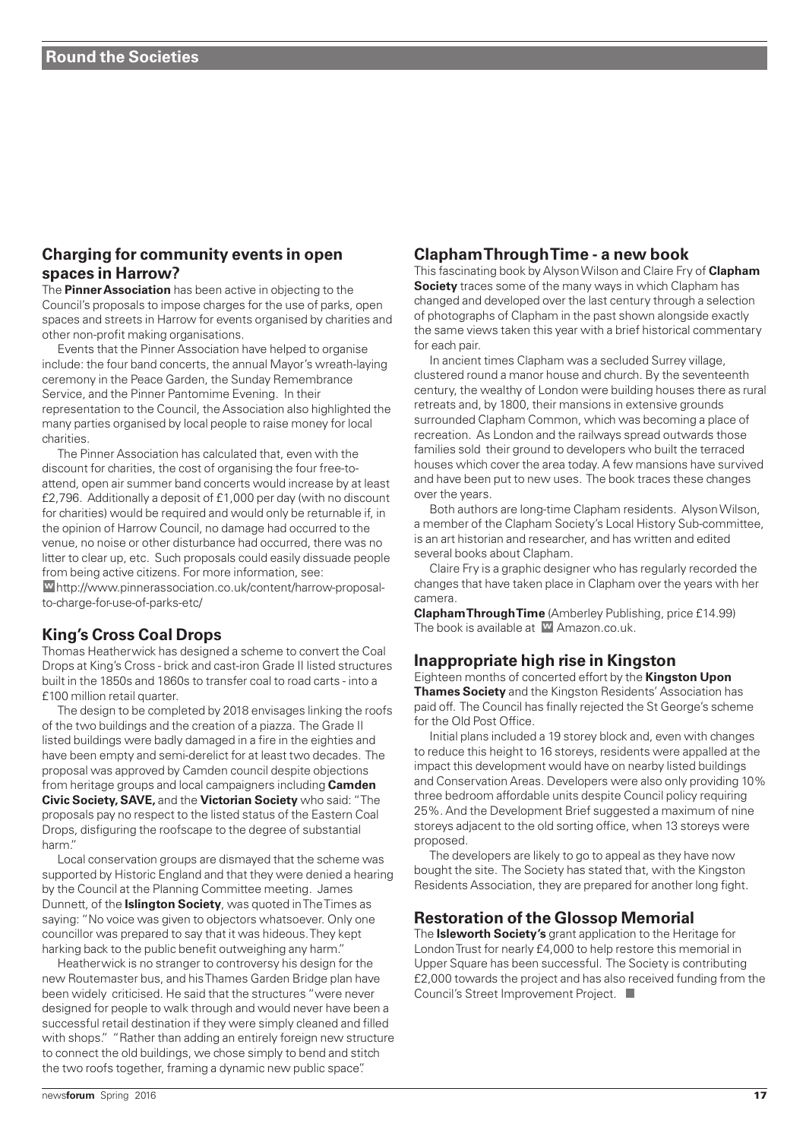### **Charging for community events in open spaces in Harrow?**

The **Pinner Association** has been active in objecting to the Council's proposals to impose charges for the use of parks, open spaces and streets in Harrow for events organised by charities and other non-profit making organisations.

Events that the Pinner Association have helped to organise include: the four band concerts, the annual Mayor's wreath-laying ceremony in the Peace Garden, the Sunday Remembrance Service, and the Pinner Pantomime Evening. In their representation to the Council, the Association also highlighted the many parties organised by local people to raise money for local charities.

The Pinner Association has calculated that, even with the discount for charities, the cost of organising the four free-toattend, open air summer band concerts would increase by at least £2,796. Additionally a deposit of £1,000 per day (with no discount for charities) would be required and would only be returnable if, in the opinion of Harrow Council, no damage had occurred to the venue, no noise or other disturbance had occurred, there was no litter to clear up, etc. Such proposals could easily dissuade people from being active citizens. For more information, see: http://www.pinnerassociation.co.uk/content/harrow-proposal-**w**to-charge-for-use-of-parks-etc/

### **King's Cross Coal Drops**

Thomas Heatherwick has designed a scheme to convert the Coal Drops at King's Cross - brick and cast-iron Grade II listed structures built in the 1850s and 1860s to transfer coal to road carts - into a £100 million retail quarter.

The design to be completed by 2018 envisages linking the roofs of the two buildings and the creation of a piazza. The Grade II listed buildings were badly damaged in a fire in the eighties and have been empty and semi-derelict for at least two decades. The proposal was approved by Camden council despite objections from heritage groups and local campaigners including **Camden Civic Society, SAVE,** and the **Victorian Society** who said: "The proposals pay no respect to the listed status of the Eastern Coal Drops, disfiguring the roofscape to the degree of substantial harm."

Local conservation groups are dismayed that the scheme was supported by Historic England and that they were denied a hearing by the Council at the Planning Committee meeting. James Dunnett, of the **Islington Society**, was quoted in The Times as saying: "No voice was given to objectors whatsoever. Only one councillor was prepared to say that it was hideous. They kept harking back to the public benefit outweighing any harm."

Heatherwick is no stranger to controversy his design for the new Routemaster bus, and his Thames Garden Bridge plan have been widely criticised. He said that the structures "were never designed for people to walk through and would never have been a successful retail destination if they were simply cleaned and filled with shops." "Rather than adding an entirely foreign new structure to connect the old buildings, we chose simply to bend and stitch the two roofs together, framing a dynamic new public space".

### **Clapham Through Time - a new book**

This fascinating book by Alyson Wilson and Claire Fry of **Clapham Society** traces some of the many ways in which Clapham has changed and developed over the last century through a selection of photographs of Clapham in the past shown alongside exactly the same views taken this year with a brief historical commentary for each pair.

In ancient times Clapham was a secluded Surrey village, clustered round a manor house and church. By the seventeenth century, the wealthy of London were building houses there as rural retreats and, by 1800, their mansions in extensive grounds surrounded Clapham Common, which was becoming a place of recreation. As London and the railways spread outwards those families sold their ground to developers who built the terraced houses which cover the area today. A few mansions have survived and have been put to new uses. The book traces these changes over the years.

Both authors are long-time Clapham residents. Alyson Wilson, a member of the Clapham Society's Local History Sub-committee, is an art historian and researcher, and has written and edited several books about Clapham.

Claire Fry is a graphic designer who has regularly recorded the changes that have taken place in Clapham over the years with her camera.

**Clapham Through Time** (Amberley Publishing, price £14.99) The book is available at **w** Amazon.co.uk.

### **Inappropriate high rise in Kingston**

Eighteen months of concerted effort by the **Kingston Upon Thames Society** and the Kingston Residents' Association has paid off. The Council has finally rejected the St George's scheme for the Old Post Office.

Initial plans included a 19 storey block and, even with changes to reduce this height to 16 storeys, residents were appalled at the impact this development would have on nearby listed buildings and Conservation Areas. Developers were also only providing 10% three bedroom affordable units despite Council policy requiring 25%. And the Development Brief suggested a maximum of nine storeys adjacent to the old sorting office, when 13 storeys were proposed.

The developers are likely to go to appeal as they have now bought the site. The Society has stated that, with the Kingston Residents Association, they are prepared for another long fight.

### **Restoration of the Glossop Memorial**

The **Isleworth Society's** grant application to the Heritage for London Trust for nearly £4,000 to help restore this memorial in Upper Square has been successful. The Society is contributing £2,000 towards the project and has also received funding from the Council's Street Improvement Project. ■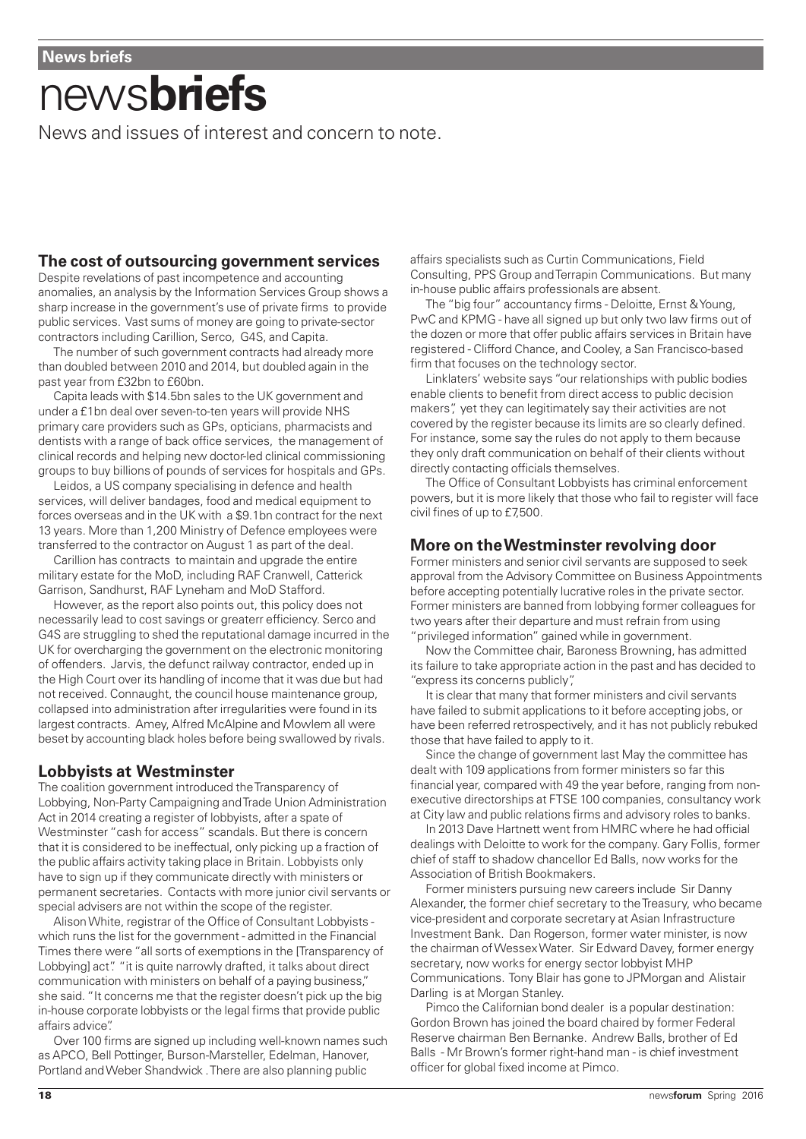# news**briefs**

News and issues of interest and concern to note.

### **The cost of outsourcing government services**

Despite revelations of past incompetence and accounting anomalies, an analysis by the Information Services Group shows a sharp increase in the government's use of private firms to provide public services. Vast sums of money are going to private-sector contractors including Carillion, Serco, G4S, and Capita.

The number of such government contracts had already more than doubled between 2010 and 2014, but doubled again in the past year from £32bn to £60bn.

Capita leads with \$14.5bn sales to the UK government and under a £1bn deal over seven-to-ten years will provide NHS primary care providers such as GPs, opticians, pharmacists and dentists with a range of back office services, the management of clinical records and helping new doctor-led clinical commissioning groups to buy billions of pounds of services for hospitals and GPs.

Leidos, a US company specialising in defence and health services, will deliver bandages, food and medical equipment to forces overseas and in the UK with a \$9.1bn contract for the next 13 years. More than 1,200 Ministry of Defence employees were transferred to the contractor on August 1 as part of the deal.

Carillion has contracts to maintain and upgrade the entire military estate for the MoD, including RAF Cranwell, Catterick Garrison, Sandhurst, RAF Lyneham and MoD Stafford.

However, as the report also points out, this policy does not necessarily lead to cost savings or greaterr efficiency. Serco and G4S are struggling to shed the reputational damage incurred in the UK for overcharging the government on the electronic monitoring of offenders. Jarvis, the defunct railway contractor, ended up in the High Court over its handling of income that it was due but had not received. Connaught, the council house maintenance group, collapsed into administration after irregularities were found in its largest contracts. Amey, Alfred McAlpine and Mowlem all were beset by accounting black holes before being swallowed by rivals.

### **Lobbyists at Westminster**

The coalition government introduced the Transparency of Lobbying, Non-Party Campaigning and Trade Union Administration Act in 2014 creating a register of lobbyists, after a spate of Westminster "cash for access" scandals. But there is concern that it is considered to be ineffectual, only picking up a fraction of the public affairs activity taking place in Britain. Lobbyists only have to sign up if they communicate directly with ministers or permanent secretaries. Contacts with more junior civil servants or special advisers are not within the scope of the register.

Alison White, registrar of the Office of Consultant Lobbyists which runs the list for the government - admitted in the Financial Times there were "all sorts of exemptions in the [Transparency of Lobbying] act". "it is quite narrowly drafted, it talks about direct communication with ministers on behalf of a paying business," she said. "It concerns me that the register doesn't pick up the big in-house corporate lobbyists or the legal firms that provide public affairs advice".

Over 100 firms are signed up including well-known names such as APCO, Bell Pottinger, Burson-Marsteller, Edelman, Hanover, Portland and Weber Shandwick . There are also planning public

affairs specialists such as Curtin Communications, Field Consulting, PPS Group and Terrapin Communications. But many in-house public affairs professionals are absent.

The "big four" accountancy firms - Deloitte, Ernst & Young, PwC and KPMG - have all signed up but only two law firms out of the dozen or more that offer public affairs services in Britain have registered - Clifford Chance, and Cooley, a San Francisco-based firm that focuses on the technology sector.

Linklaters' website says "our relationships with public bodies enable clients to benefit from direct access to public decision makers", yet they can legitimately say their activities are not covered by the register because its limits are so clearly defined. For instance, some say the rules do not apply to them because they only draft communication on behalf of their clients without directly contacting officials themselves.

The Office of Consultant Lobbyists has criminal enforcement powers, but it is more likely that those who fail to register will face civil fines of up to £7,500.

### **More on the Westminster revolving door**

Former ministers and senior civil servants are supposed to seek approval from the Advisory Committee on Business Appointments before accepting potentially lucrative roles in the private sector. Former ministers are banned from lobbying former colleagues for two years after their departure and must refrain from using "privileged information" gained while in government.

Now the Committee chair, Baroness Browning, has admitted its failure to take appropriate action in the past and has decided to "express its concerns publicly",

It is clear that many that former ministers and civil servants have failed to submit applications to it before accepting jobs, or have been referred retrospectively, and it has not publicly rebuked those that have failed to apply to it.

Since the change of government last May the committee has dealt with 109 applications from former ministers so far this financial year, compared with 49 the year before, ranging from nonexecutive directorships at FTSE 100 companies, consultancy work at City law and public relations firms and advisory roles to banks.

In 2013 Dave Hartnett went from HMRC where he had official dealings with Deloitte to work for the company. Gary Follis, former chief of staff to shadow chancellor Ed Balls, now works for the Association of British Bookmakers.

Former ministers pursuing new careers include Sir Danny Alexander, the former chief secretary to the Treasury, who became vice-president and corporate secretary at Asian Infrastructure Investment Bank. Dan Rogerson, former water minister, is now the chairman of Wessex Water. Sir Edward Davey, former energy secretary, now works for energy sector lobbyist MHP Communications. Tony Blair has gone to JPMorgan and Alistair Darling is at Morgan Stanley.

Pimco the Californian bond dealer is a popular destination: Gordon Brown has joined the board chaired by former Federal Reserve chairman Ben Bernanke. Andrew Balls, brother of Ed Balls - Mr Brown's former right-hand man - is chief investment officer for global fixed income at Pimco.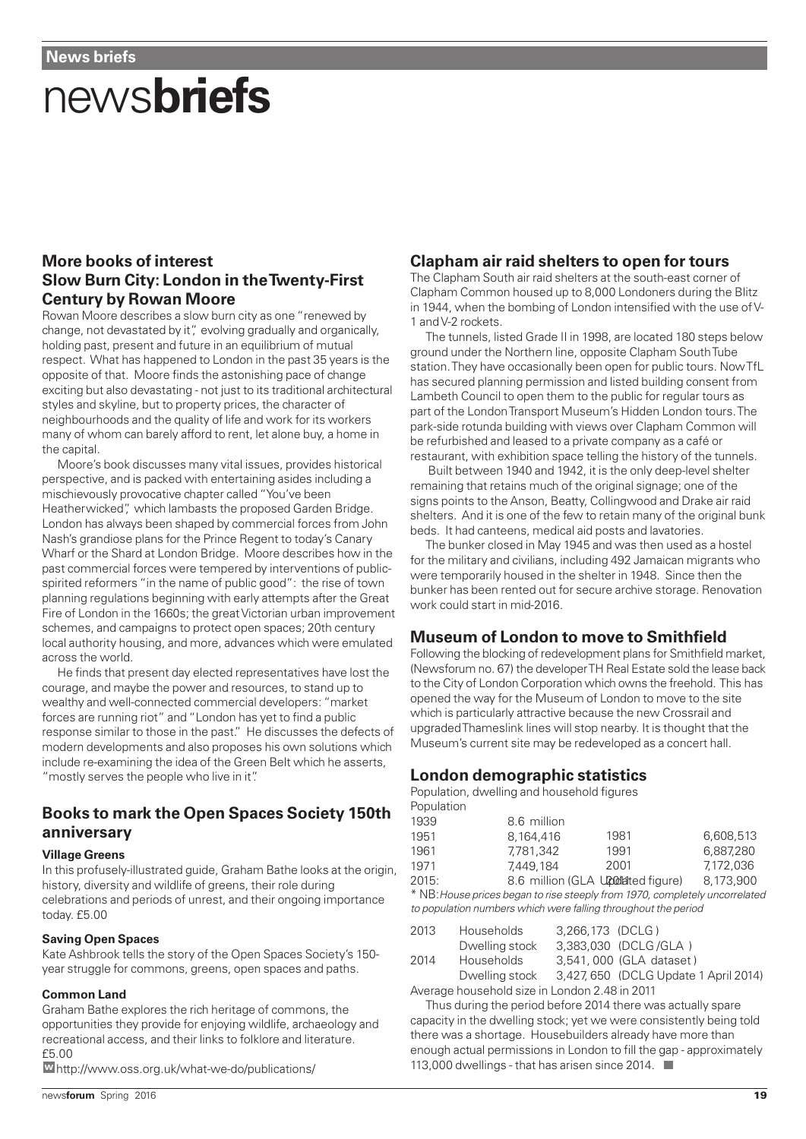# news**briefs**

### **More books of interest Slow Burn City: London in the Twenty-First Century by Rowan Moore**

Rowan Moore describes a slow burn city as one "renewed by change, not devastated by it", evolving gradually and organically, holding past, present and future in an equilibrium of mutual respect. What has happened to London in the past 35 years is the opposite of that. Moore finds the astonishing pace of change exciting but also devastating - not just to its traditional architectural styles and skyline, but to property prices, the character of neighbourhoods and the quality of life and work for its workers many of whom can barely afford to rent, let alone buy, a home in the capital.

Moore's book discusses many vital issues, provides historical perspective, and is packed with entertaining asides including a mischievously provocative chapter called "You've been Heatherwicked", which lambasts the proposed Garden Bridge. London has always been shaped by commercial forces from John Nash's grandiose plans for the Prince Regent to today's Canary Wharf or the Shard at London Bridge. Moore describes how in the past commercial forces were tempered by interventions of publicspirited reformers "in the name of public good": the rise of town planning regulations beginning with early attempts after the Great Fire of London in the 1660s; the great Victorian urban improvement schemes, and campaigns to protect open spaces; 20th century local authority housing, and more, advances which were emulated across the world.

He finds that present day elected representatives have lost the courage, and maybe the power and resources, to stand up to wealthy and well-connected commercial developers: "market forces are running riot" and "London has yet to find a public response similar to those in the past." He discusses the defects of modern developments and also proposes his own solutions which include re-examining the idea of the Green Belt which he asserts, "mostly serves the people who live in it".

### **Books to mark the Open Spaces Society 150th anniversary**

#### **Village Greens**

In this profusely-illustrated guide, Graham Bathe looks at the origin, history, diversity and wildlife of greens, their role during celebrations and periods of unrest, and their ongoing importance today. £5.00

#### **Saving Open Spaces**

Kate Ashbrook tells the story of the Open Spaces Society's 150 year struggle for commons, greens, open spaces and paths.

#### **Common Land**

Graham Bathe explores the rich heritage of commons, the opportunities they provide for enjoying wildlife, archaeology and recreational access, and their links to folklore and literature. £5.00

http://www.oss.org.uk/what-we-do/publications/ **w** 113,000 dwellings - that has arisen since 2014.

### **Clapham air raid shelters to open for tours**

The Clapham South air raid shelters at the south-east corner of Clapham Common housed up to 8,000 Londoners during the Blitz in 1944, when the bombing of London intensified with the use of V-1 and V-2 rockets.

The tunnels, listed Grade II in 1998, are located 180 steps below ground under the Northern line, opposite Clapham South Tube station. They have occasionally been open for public tours. Now TfL has secured planning permission and listed building consent from Lambeth Council to open them to the public for regular tours as part of the London Transport Museum's Hidden London tours. The park-side rotunda building with views over Clapham Common will be refurbished and leased to a private company as a café or restaurant, with exhibition space telling the history of the tunnels.

Built between 1940 and 1942, it is the only deep-level shelter remaining that retains much of the original signage; one of the signs points to the Anson, Beatty, Collingwood and Drake air raid shelters. And it is one of the few to retain many of the original bunk beds. It had canteens, medical aid posts and lavatories.

The bunker closed in May 1945 and was then used as a hostel for the military and civilians, including 492 Jamaican migrants who were temporarily housed in the shelter in 1948. Since then the bunker has been rented out for secure archive storage. Renovation work could start in mid-2016.

#### **Museum of London to move to Smithfield**

Following the blocking of redevelopment plans for Smithfield market, (Newsforum no. 67) the developer TH Real Estate sold the lease back to the City of London Corporation which owns the freehold. This has opened the way for the Museum of London to move to the site which is particularly attractive because the new Crossrail and upgraded Thameslink lines will stop nearby. It is thought that the Museum's current site may be redeveloped as a concert hall.

### **London demographic statistics**

Population, dwelling and household figures Population

| <b>I</b> Upulation |             |                                                                                                                                                 |           |
|--------------------|-------------|-------------------------------------------------------------------------------------------------------------------------------------------------|-----------|
| 1939               | 8.6 million |                                                                                                                                                 |           |
| 1951               | 8.164.416   | 1981                                                                                                                                            | 6.608.513 |
| 1961               | 7.781.342   | 1991                                                                                                                                            | 6.887.280 |
| 1971               | 7.449.184   | 2001                                                                                                                                            | 7.172.036 |
| $0.01F$ .          |             | $\bigcap_{i=1}^n$ $\bigcap_{i=1}^n$ $\bigcap_{i=1}^n$ $\bigcap_{i=1}^n$ $\bigcap_{i=1}^n$ $\bigcup_{i=1}^n$ $\bigcup_{i=1}^n$ $\bigcap_{i=1}^n$ | 0.170.000 |

2015: 8.6 million (GLA Upddated figure) 8,173,900 \* NB:House prices began to rise steeply from 1970, completely uncorrelated to population numbers which were falling throughout the period

| 2013 | <b>Households</b> | 3.266.173 (DCLG) |                                      |
|------|-------------------|------------------|--------------------------------------|
|      | Dwelling stock    |                  | 3.383.030 (DCLG/GLA)                 |
| 2014 | Households        |                  | 3.541, 000 (GLA dataset)             |
|      | Dwelling stock    |                  | 3,427,650 (DCLG Update 1 April 2014) |
|      |                   |                  |                                      |

Average household size in London 2.48 in 2011

Thus during the period before 2014 there was actually spare capacity in the dwelling stock; yet we were consistently being told there was a shortage. Housebuilders already have more than enough actual permissions in London to fill the gap - approximately